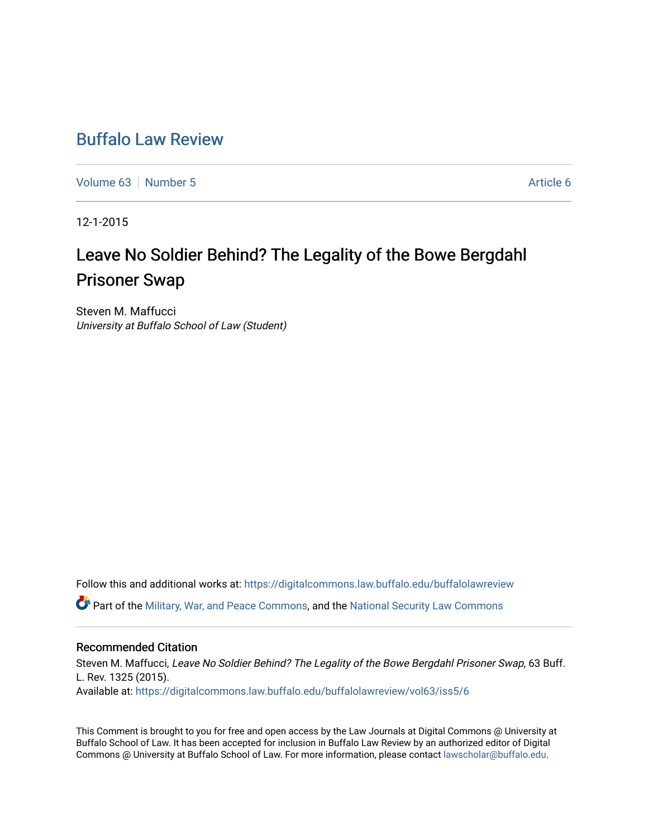# [Buffalo Law Review](https://digitalcommons.law.buffalo.edu/buffalolawreview)

[Volume 63](https://digitalcommons.law.buffalo.edu/buffalolawreview/vol63) [Number 5](https://digitalcommons.law.buffalo.edu/buffalolawreview/vol63/iss5) [Article 6](https://digitalcommons.law.buffalo.edu/buffalolawreview/vol63/iss5/6) Article 6

12-1-2015

# Leave No Soldier Behind? The Legality of the Bowe Bergdahl Prisoner Swap

Steven M. Maffucci University at Buffalo School of Law (Student)

Follow this and additional works at: [https://digitalcommons.law.buffalo.edu/buffalolawreview](https://digitalcommons.law.buffalo.edu/buffalolawreview?utm_source=digitalcommons.law.buffalo.edu%2Fbuffalolawreview%2Fvol63%2Fiss5%2F6&utm_medium=PDF&utm_campaign=PDFCoverPages) 

Part of the [Military, War, and Peace Commons,](http://network.bepress.com/hgg/discipline/861?utm_source=digitalcommons.law.buffalo.edu%2Fbuffalolawreview%2Fvol63%2Fiss5%2F6&utm_medium=PDF&utm_campaign=PDFCoverPages) and the [National Security Law Commons](http://network.bepress.com/hgg/discipline/1114?utm_source=digitalcommons.law.buffalo.edu%2Fbuffalolawreview%2Fvol63%2Fiss5%2F6&utm_medium=PDF&utm_campaign=PDFCoverPages) 

# Recommended Citation

Steven M. Maffucci, Leave No Soldier Behind? The Legality of the Bowe Bergdahl Prisoner Swap, 63 Buff. L. Rev. 1325 (2015). Available at: [https://digitalcommons.law.buffalo.edu/buffalolawreview/vol63/iss5/6](https://digitalcommons.law.buffalo.edu/buffalolawreview/vol63/iss5/6?utm_source=digitalcommons.law.buffalo.edu%2Fbuffalolawreview%2Fvol63%2Fiss5%2F6&utm_medium=PDF&utm_campaign=PDFCoverPages) 

This Comment is brought to you for free and open access by the Law Journals at Digital Commons @ University at Buffalo School of Law. It has been accepted for inclusion in Buffalo Law Review by an authorized editor of Digital Commons @ University at Buffalo School of Law. For more information, please contact [lawscholar@buffalo.edu](mailto:lawscholar@buffalo.edu).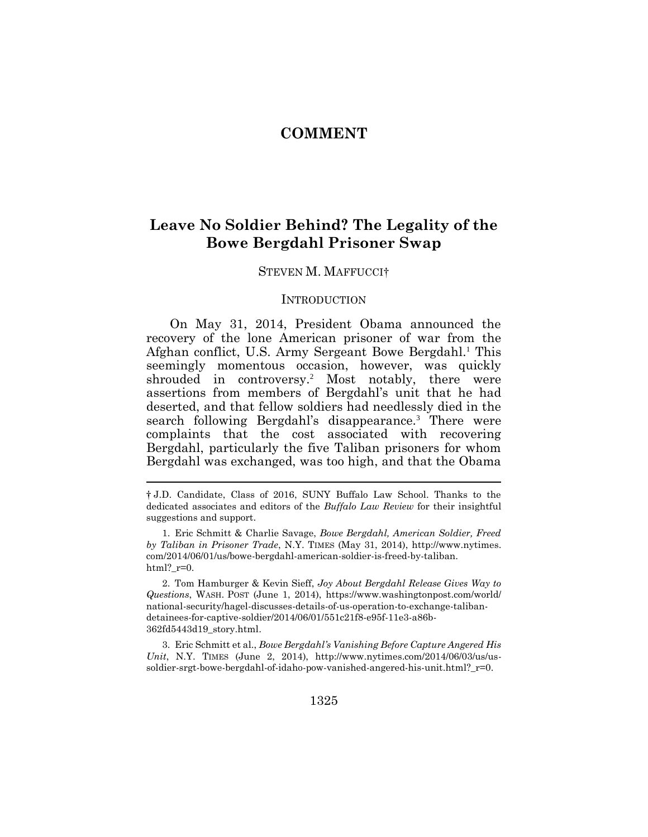# **COMMENT**

# **Leave No Soldier Behind? The Legality of the Bowe Bergdahl Prisoner Swap**

#### STEVEN M. MAFFUCCI†

#### **INTRODUCTION**

On May 31, 2014, President Obama announced the recovery of the lone American prisoner of war from the Afghan conflict, U.S. Army Sergeant Bowe Bergdahl.<sup>1</sup> This seemingly momentous occasion, however, was quickly shrouded in controversy.<sup>2</sup> Most notably, there were assertions from members of Bergdahl's unit that he had deserted, and that fellow soldiers had needlessly died in the search following Bergdahl's disappearance.<sup>3</sup> There were complaints that the cost associated with recovering Bergdahl, particularly the five Taliban prisoners for whom Bergdahl was exchanged, was too high, and that the Obama

3. Eric Schmitt et al., *Bowe Bergdahl's Vanishing Before Capture Angered His Unit*, N.Y. TIMES (June 2, 2014), http://www.nytimes.com/2014/06/03/us/ussoldier-srgt-bowe-bergdahl-of-idaho-pow-vanished-angered-his-unit.html?\_r=0.

<sup>†</sup> J.D. Candidate, Class of 2016, SUNY Buffalo Law School. Thanks to the dedicated associates and editors of the *Buffalo Law Review* for their insightful suggestions and support.

<sup>1.</sup> Eric Schmitt & Charlie Savage, *Bowe Bergdahl, American Soldier, Freed by Taliban in Prisoner Trade*, N.Y. TIMES (May 31, 2014), http://www.nytimes. com/2014/06/01/us/bowe-bergdahl-american-soldier-is-freed-by-taliban. html?  $r=0$ .

<sup>2.</sup> Tom Hamburger & Kevin Sieff, *Joy About Bergdahl Release Gives Way to Questions*, WASH. POST (June 1, 2014), https://www.washingtonpost.com/world/ national-security/hagel-discusses-details-of-us-operation-to-exchange-talibandetainees-for-captive-soldier/2014/06/01/551c21f8-e95f-11e3-a86b-362fd5443d19\_story.html.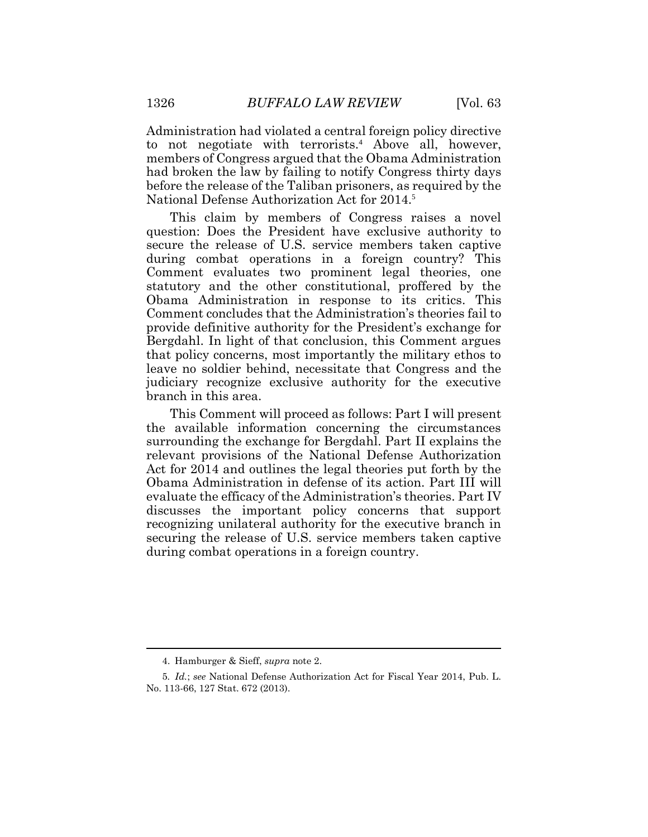Administration had violated a central foreign policy directive to not negotiate with terrorists.<sup>4</sup> Above all, however, members of Congress argued that the Obama Administration had broken the law by failing to notify Congress thirty days before the release of the Taliban prisoners, as required by the National Defense Authorization Act for 2014.<sup>5</sup>

This claim by members of Congress raises a novel question: Does the President have exclusive authority to secure the release of U.S. service members taken captive during combat operations in a foreign country? This Comment evaluates two prominent legal theories, one statutory and the other constitutional, proffered by the Obama Administration in response to its critics. This Comment concludes that the Administration's theories fail to provide definitive authority for the President's exchange for Bergdahl. In light of that conclusion, this Comment argues that policy concerns, most importantly the military ethos to leave no soldier behind, necessitate that Congress and the judiciary recognize exclusive authority for the executive branch in this area.

This Comment will proceed as follows: Part I will present the available information concerning the circumstances surrounding the exchange for Bergdahl. Part II explains the relevant provisions of the National Defense Authorization Act for 2014 and outlines the legal theories put forth by the Obama Administration in defense of its action. Part III will evaluate the efficacy of the Administration's theories. Part IV discusses the important policy concerns that support recognizing unilateral authority for the executive branch in securing the release of U.S. service members taken captive during combat operations in a foreign country.

<sup>4.</sup> Hamburger & Sieff, *supra* note 2.

<sup>5</sup>*. Id.*; *see* National Defense Authorization Act for Fiscal Year 2014, Pub. L. No. 113-66, 127 Stat. 672 (2013).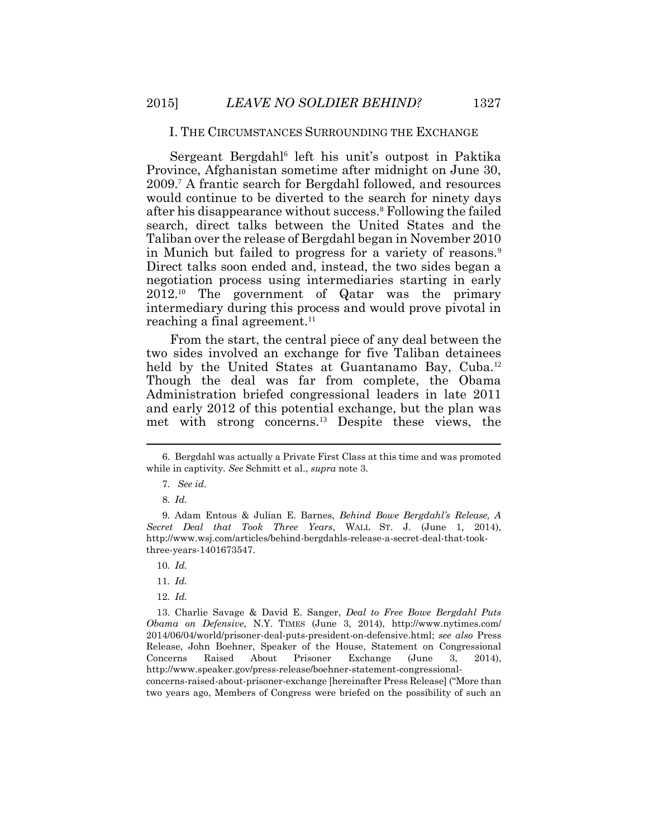#### I. THE CIRCUMSTANCES SURROUNDING THE EXCHANGE

Sergeant Bergdahl<sup>6</sup> left his unit's outpost in Paktika Province, Afghanistan sometime after midnight on June 30, 2009.<sup>7</sup> A frantic search for Bergdahl followed, and resources would continue to be diverted to the search for ninety days after his disappearance without success.<sup>8</sup> Following the failed search, direct talks between the United States and the Taliban over the release of Bergdahl began in November 2010 in Munich but failed to progress for a variety of reasons.<sup>9</sup> Direct talks soon ended and, instead, the two sides began a negotiation process using intermediaries starting in early 2012.10 The government of Qatar was the primary intermediary during this process and would prove pivotal in reaching a final agreement.<sup>11</sup>

From the start, the central piece of any deal between the two sides involved an exchange for five Taliban detainees held by the United States at Guantanamo Bay, Cuba.<sup>12</sup> Though the deal was far from complete, the Obama Administration briefed congressional leaders in late 2011 and early 2012 of this potential exchange, but the plan was met with strong concerns.13 Despite these views, the

 $\overline{a}$ 

12*. Id.*

13. Charlie Savage & David E. Sanger, *Deal to Free Bowe Bergdahl Puts Obama on Defensive*, N.Y. TIMES (June 3, 2014), http://www.nytimes.com/ 2014/06/04/world/prisoner-deal-puts-president-on-defensive.html; *see also* Press Release, John Boehner, Speaker of the House, Statement on Congressional Concerns Raised About Prisoner Exchange (June 3, 2014), http://www.speaker.gov/press-release/boehner-statement-congressional-

concerns-raised-about-prisoner-exchange [hereinafter Press Release] ("More than two years ago, Members of Congress were briefed on the possibility of such an

<sup>6.</sup> Bergdahl was actually a Private First Class at this time and was promoted while in captivity. *See* Schmitt et al., *supra* note 3.

<sup>7</sup>*. See id.*

<sup>8</sup>*. Id.*

<sup>9.</sup> Adam Entous & Julian E. Barnes, *Behind Bowe Bergdahl's Release, A Secret Deal that Took Three Years*, WALL ST. J. (June 1, 2014), http://www.wsj.com/articles/behind-bergdahls-release-a-secret-deal-that-tookthree-years-1401673547.

<sup>10</sup>*. Id.*

<sup>11</sup>*. Id.*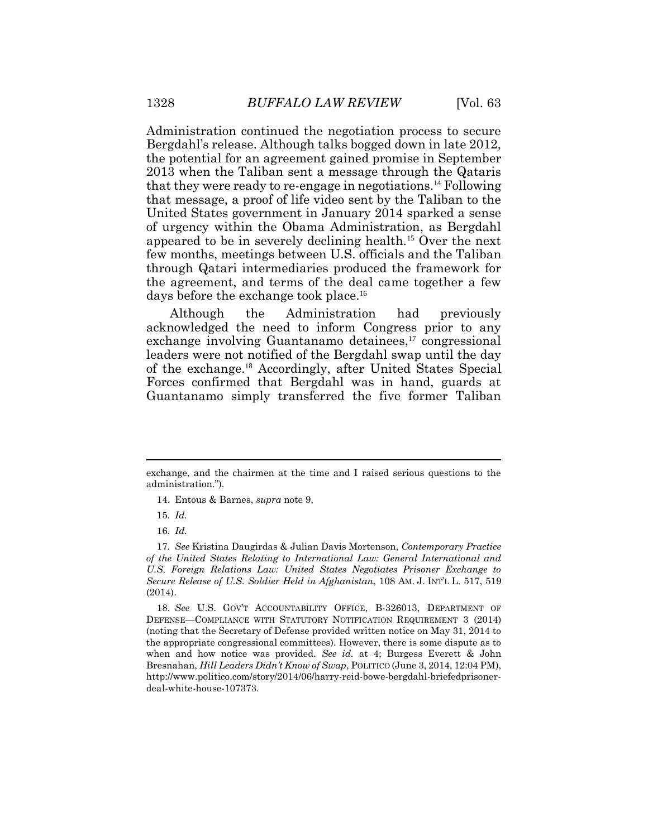Administration continued the negotiation process to secure Bergdahl's release. Although talks bogged down in late 2012, the potential for an agreement gained promise in September 2013 when the Taliban sent a message through the Qataris that they were ready to re-engage in negotiations.<sup>14</sup> Following that message, a proof of life video sent by the Taliban to the United States government in January 2014 sparked a sense of urgency within the Obama Administration, as Bergdahl appeared to be in severely declining health.<sup>15</sup> Over the next few months, meetings between U.S. officials and the Taliban through Qatari intermediaries produced the framework for the agreement, and terms of the deal came together a few days before the exchange took place.<sup>16</sup>

Although the Administration had previously acknowledged the need to inform Congress prior to any exchange involving Guantanamo detainees,<sup>17</sup> congressional leaders were not notified of the Bergdahl swap until the day of the exchange.<sup>18</sup> Accordingly, after United States Special Forces confirmed that Bergdahl was in hand, guards at Guantanamo simply transferred the five former Taliban

18. *See* U.S. GOV'T ACCOUNTABILITY OFFICE, B-326013, DEPARTMENT OF DEFENSE—COMPLIANCE WITH STATUTORY NOTIFICATION REQUIREMENT 3 (2014) (noting that the Secretary of Defense provided written notice on May 31, 2014 to the appropriate congressional committees). However, there is some dispute as to when and how notice was provided. *See id.* at 4; Burgess Everett & John Bresnahan, *Hill Leaders Didn't Know of Swap*, POLITICO (June 3, 2014, 12:04 PM), http://www.politico.com/story/2014/06/harry-reid-bowe-bergdahl-briefedprisonerdeal-white-house-107373.

exchange, and the chairmen at the time and I raised serious questions to the administration.").

<sup>14.</sup> Entous & Barnes, *supra* note 9.

<sup>15</sup>*. Id.*

<sup>16</sup>*. Id.*

<sup>17</sup>*. See* Kristina Daugirdas & Julian Davis Mortenson, *Contemporary Practice of the United States Relating to International Law: General International and U.S. Foreign Relations Law: United States Negotiates Prisoner Exchange to Secure Release of U.S. Soldier Held in Afghanistan*, 108 AM. J. INT'L L. 517, 519 (2014).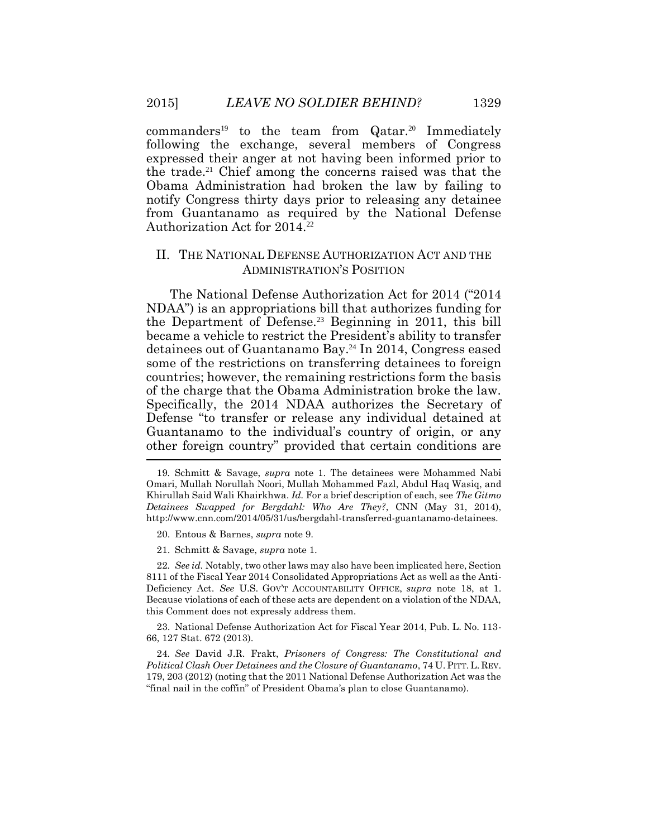$commanders<sup>19</sup>$  to the team from  $Qatar.<sup>20</sup>$  Immediately following the exchange, several members of Congress expressed their anger at not having been informed prior to the trade.21 Chief among the concerns raised was that the Obama Administration had broken the law by failing to notify Congress thirty days prior to releasing any detainee from Guantanamo as required by the National Defense Authorization Act for 2014.<sup>22</sup>

## II. THE NATIONAL DEFENSE AUTHORIZATION ACT AND THE ADMINISTRATION'S POSITION

The National Defense Authorization Act for 2014 ("2014 NDAA") is an appropriations bill that authorizes funding for the Department of Defense.23 Beginning in 2011, this bill became a vehicle to restrict the President's ability to transfer detainees out of Guantanamo Bay.24 In 2014, Congress eased some of the restrictions on transferring detainees to foreign countries; however, the remaining restrictions form the basis of the charge that the Obama Administration broke the law. Specifically, the 2014 NDAA authorizes the Secretary of Defense "to transfer or release any individual detained at Guantanamo to the individual's country of origin, or any other foreign country" provided that certain conditions are

22*. See id.* Notably, two other laws may also have been implicated here, Section 8111 of the Fiscal Year 2014 Consolidated Appropriations Act as well as the Anti-Deficiency Act. *See* U.S. GOV'T ACCOUNTABILITY OFFICE, *supra* note 18, at 1. Because violations of each of these acts are dependent on a violation of the NDAA, this Comment does not expressly address them.

23. National Defense Authorization Act for Fiscal Year 2014, Pub. L. No. 113- 66, 127 Stat. 672 (2013).

24*. See* David J.R. Frakt, *Prisoners of Congress: The Constitutional and Political Clash Over Detainees and the Closure of Guantanamo*, 74 U.PITT.L. REV. 179, 203 (2012) (noting that the 2011 National Defense Authorization Act was the "final nail in the coffin" of President Obama's plan to close Guantanamo).

<sup>19</sup>*.* Schmitt & Savage, *supra* note 1. The detainees were Mohammed Nabi Omari, Mullah Norullah Noori, Mullah Mohammed Fazl, Abdul Haq Wasiq, and Khirullah Said Wali Khairkhwa. *Id.* For a brief description of each, see *The Gitmo Detainees Swapped for Bergdahl: Who Are They?*, CNN (May 31, 2014), http://www.cnn.com/2014/05/31/us/bergdahl-transferred-guantanamo-detainees.

<sup>20.</sup> Entous & Barnes, *supra* note 9.

<sup>21.</sup> Schmitt & Savage, *supra* note 1.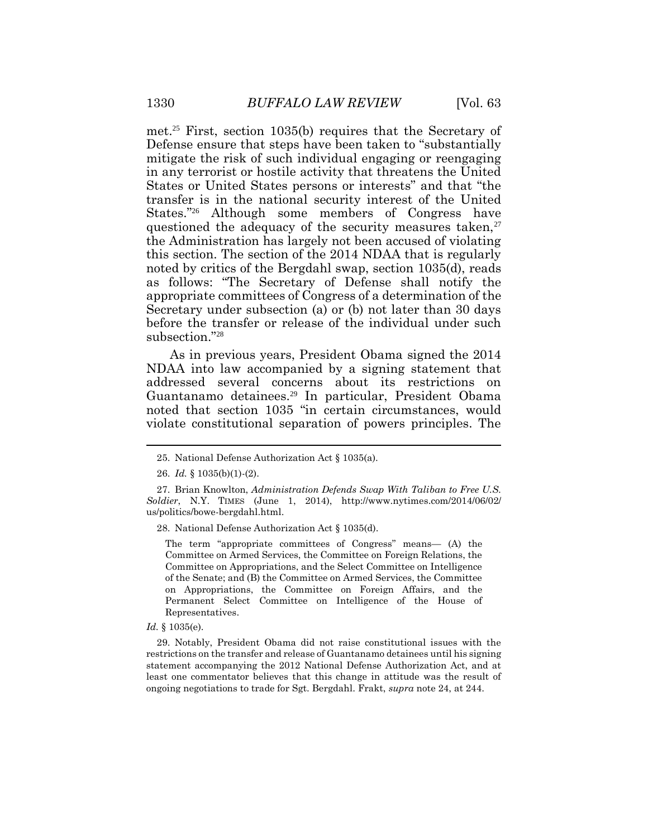met.<sup>25</sup> First, section 1035(b) requires that the Secretary of Defense ensure that steps have been taken to "substantially mitigate the risk of such individual engaging or reengaging in any terrorist or hostile activity that threatens the United States or United States persons or interests" and that "the transfer is in the national security interest of the United States."<sup>26</sup> Although some members of Congress have questioned the adequacy of the security measures taken,<sup>27</sup> the Administration has largely not been accused of violating this section. The section of the 2014 NDAA that is regularly noted by critics of the Bergdahl swap, section 1035(d), reads as follows: "The Secretary of Defense shall notify the appropriate committees of Congress of a determination of the Secretary under subsection (a) or (b) not later than 30 days before the transfer or release of the individual under such subsection."<sup>28</sup>

As in previous years, President Obama signed the 2014 NDAA into law accompanied by a signing statement that addressed several concerns about its restrictions on Guantanamo detainees.<sup>29</sup> In particular, President Obama noted that section 1035 "in certain circumstances, would violate constitutional separation of powers principles. The

28. National Defense Authorization Act § 1035(d).

The term "appropriate committees of Congress" means— (A) the Committee on Armed Services, the Committee on Foreign Relations, the Committee on Appropriations, and the Select Committee on Intelligence of the Senate; and (B) the Committee on Armed Services, the Committee on Appropriations, the Committee on Foreign Affairs, and the Permanent Select Committee on Intelligence of the House of Representatives.

*Id.* § 1035(e).

29. Notably, President Obama did not raise constitutional issues with the restrictions on the transfer and release of Guantanamo detainees until his signing statement accompanying the 2012 National Defense Authorization Act, and at least one commentator believes that this change in attitude was the result of ongoing negotiations to trade for Sgt. Bergdahl. Frakt, *supra* note 24, at 244.

<sup>25.</sup> National Defense Authorization Act § 1035(a).

<sup>26.</sup> *Id.* § 1035(b)(1)-(2).

<sup>27.</sup> Brian Knowlton, *Administration Defends Swap With Taliban to Free U.S. Soldier*, N.Y. TIMES (June 1, 2014), http://www.nytimes.com/2014/06/02/ us/politics/bowe-bergdahl.html.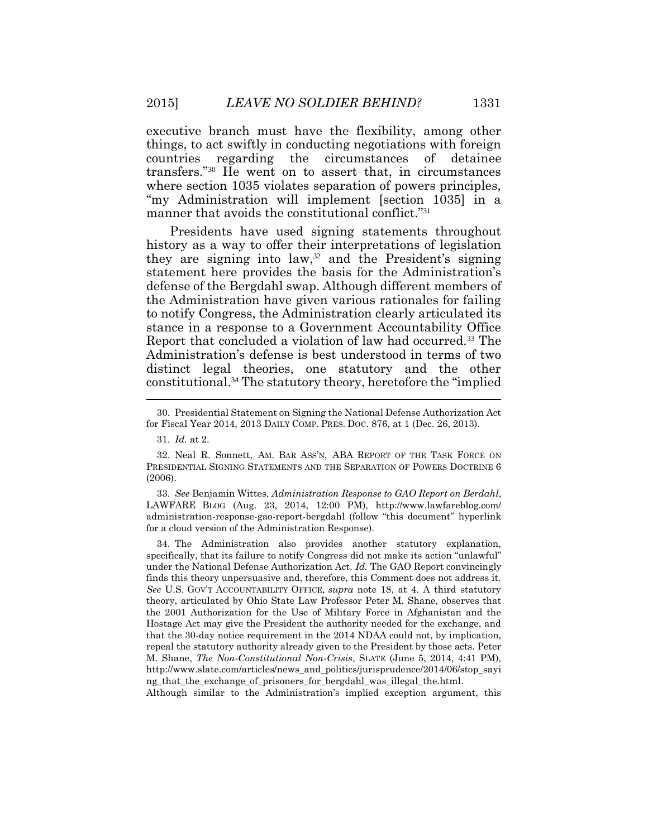executive branch must have the flexibility, among other things, to act swiftly in conducting negotiations with foreign countries regarding the circumstances of detainee transfers."<sup>30</sup> He went on to assert that, in circumstances where section 1035 violates separation of powers principles, "my Administration will implement [section 1035] in a manner that avoids the constitutional conflict."<sup>31</sup>

Presidents have used signing statements throughout history as a way to offer their interpretations of legislation they are signing into  $law$ ,<sup>32</sup> and the President's signing statement here provides the basis for the Administration's defense of the Bergdahl swap. Although different members of the Administration have given various rationales for failing to notify Congress, the Administration clearly articulated its stance in a response to a Government Accountability Office Report that concluded a violation of law had occurred.<sup>33</sup> The Administration's defense is best understood in terms of two distinct legal theories, one statutory and the other constitutional.<sup>34</sup> The statutory theory, heretofore the "implied

33. *See* Benjamin Wittes, *Administration Response to GAO Report on Berdahl*, LAWFARE BLOG (Aug. 23, 2014, 12:00 PM), http://www.lawfareblog.com/ administration-response-gao-report-bergdahl (follow "this document" hyperlink for a cloud version of the Administration Response).

34. The Administration also provides another statutory explanation, specifically, that its failure to notify Congress did not make its action "unlawful" under the National Defense Authorization Act. *Id.* The GAO Report convincingly finds this theory unpersuasive and, therefore, this Comment does not address it. *See* U.S. GOV'T ACCOUNTABILITY OFFICE, *supra* note 18, at 4. A third statutory theory, articulated by Ohio State Law Professor Peter M. Shane, observes that the 2001 Authorization for the Use of Military Force in Afghanistan and the Hostage Act may give the President the authority needed for the exchange, and that the 30-day notice requirement in the 2014 NDAA could not, by implication, repeal the statutory authority already given to the President by those acts. Peter M. Shane, *The Non-Constitutional Non-Crisis*, SLATE (June 5, 2014, 4:41 PM), http://www.slate.com/articles/news\_and\_politics/jurisprudence/2014/06/stop\_sayi ng\_that\_the\_exchange\_of\_prisoners\_for\_bergdahl\_was\_illegal\_the.html.

Although similar to the Administration's implied exception argument, this

<sup>30.</sup> Presidential Statement on Signing the National Defense Authorization Act for Fiscal Year 2014, 2013 DAILY COMP. PRES. DOC. 876, at 1 (Dec. 26, 2013).

<sup>31.</sup> *Id.* at 2.

<sup>32.</sup> Neal R. Sonnett, AM. BAR ASS'N, ABA REPORT OF THE TASK FORCE ON PRESIDENTIAL SIGNING STATEMENTS AND THE SEPARATION OF POWERS DOCTRINE 6 (2006).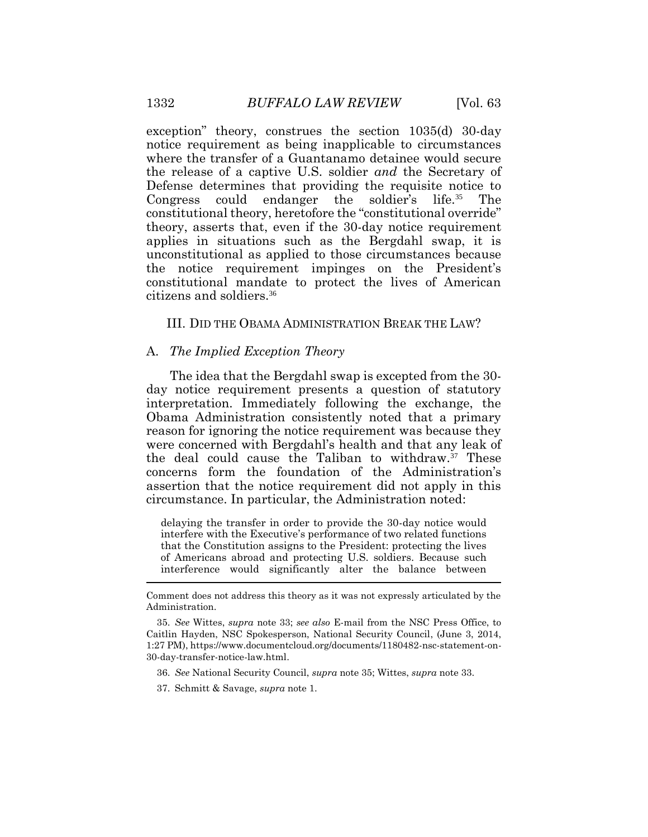exception" theory, construes the section 1035(d) 30-day notice requirement as being inapplicable to circumstances where the transfer of a Guantanamo detainee would secure the release of a captive U.S. soldier *and* the Secretary of Defense determines that providing the requisite notice to Congress could endanger the soldier's life.35 The constitutional theory, heretofore the "constitutional override" theory, asserts that, even if the 30-day notice requirement applies in situations such as the Bergdahl swap, it is unconstitutional as applied to those circumstances because the notice requirement impinges on the President's constitutional mandate to protect the lives of American citizens and soldiers.<sup>36</sup>

## III. DID THE OBAMA ADMINISTRATION BREAK THE LAW?

#### A. *The Implied Exception Theory*

The idea that the Bergdahl swap is excepted from the 30 day notice requirement presents a question of statutory interpretation. Immediately following the exchange, the Obama Administration consistently noted that a primary reason for ignoring the notice requirement was because they were concerned with Bergdahl's health and that any leak of the deal could cause the Taliban to withdraw.<sup>37</sup> These concerns form the foundation of the Administration's assertion that the notice requirement did not apply in this circumstance. In particular, the Administration noted:

delaying the transfer in order to provide the 30-day notice would interfere with the Executive's performance of two related functions that the Constitution assigns to the President: protecting the lives of Americans abroad and protecting U.S. soldiers. Because such interference would significantly alter the balance between

- 36. *See* National Security Council, *supra* note 35; Wittes, *supra* note 33.
- 37. Schmitt & Savage, *supra* note 1.

 $\overline{a}$ 

Comment does not address this theory as it was not expressly articulated by the Administration.

<sup>35.</sup> *See* Wittes, *supra* note 33; *see also* E-mail from the NSC Press Office, to Caitlin Hayden, NSC Spokesperson, National Security Council, (June 3, 2014, 1:27 PM), https://www.documentcloud.org/documents/1180482-nsc-statement-on-30-day-transfer-notice-law.html.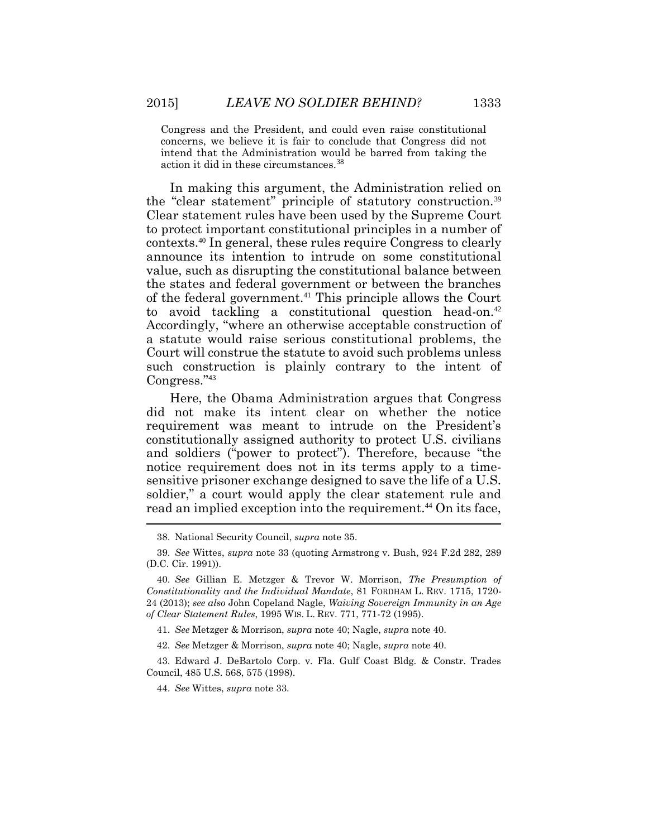Congress and the President, and could even raise constitutional concerns, we believe it is fair to conclude that Congress did not intend that the Administration would be barred from taking the action it did in these circumstances.<sup>38</sup>

In making this argument, the Administration relied on the "clear statement" principle of statutory construction.<sup>39</sup> Clear statement rules have been used by the Supreme Court to protect important constitutional principles in a number of contexts.<sup>40</sup> In general, these rules require Congress to clearly announce its intention to intrude on some constitutional value, such as disrupting the constitutional balance between the states and federal government or between the branches of the federal government.<sup>41</sup> This principle allows the Court to avoid tackling a constitutional question head-on.<sup>42</sup> Accordingly, "where an otherwise acceptable construction of a statute would raise serious constitutional problems, the Court will construe the statute to avoid such problems unless such construction is plainly contrary to the intent of Congress."<sup>43</sup>

Here, the Obama Administration argues that Congress did not make its intent clear on whether the notice requirement was meant to intrude on the President's constitutionally assigned authority to protect U.S. civilians and soldiers ("power to protect"). Therefore, because "the notice requirement does not in its terms apply to a timesensitive prisoner exchange designed to save the life of a U.S. soldier," a court would apply the clear statement rule and read an implied exception into the requirement. <sup>44</sup> On its face,

41. *See* Metzger & Morrison, *supra* note 40; Nagle, *supra* note 40.

42. *See* Metzger & Morrison, *supra* note 40; Nagle, *supra* note 40.

43. Edward J. DeBartolo Corp. v. Fla. Gulf Coast Bldg. & Constr. Trades Council, 485 U.S. 568, 575 (1998).

44. *See* Wittes, *supra* note 33.

<sup>38.</sup> National Security Council, *supra* note 35.

<sup>39.</sup> *See* Wittes, *supra* note 33 (quoting Armstrong v. Bush, 924 F.2d 282, 289 (D.C. Cir. 1991)).

<sup>40.</sup> *See* Gillian E. Metzger & Trevor W. Morrison, *The Presumption of Constitutionality and the Individual Mandate*, 81 FORDHAM L. REV. 1715, 1720- 24 (2013); *see also* John Copeland Nagle, *Waiving Sovereign Immunity in an Age of Clear Statement Rules*, 1995 WIS. L. REV. 771, 771-72 (1995).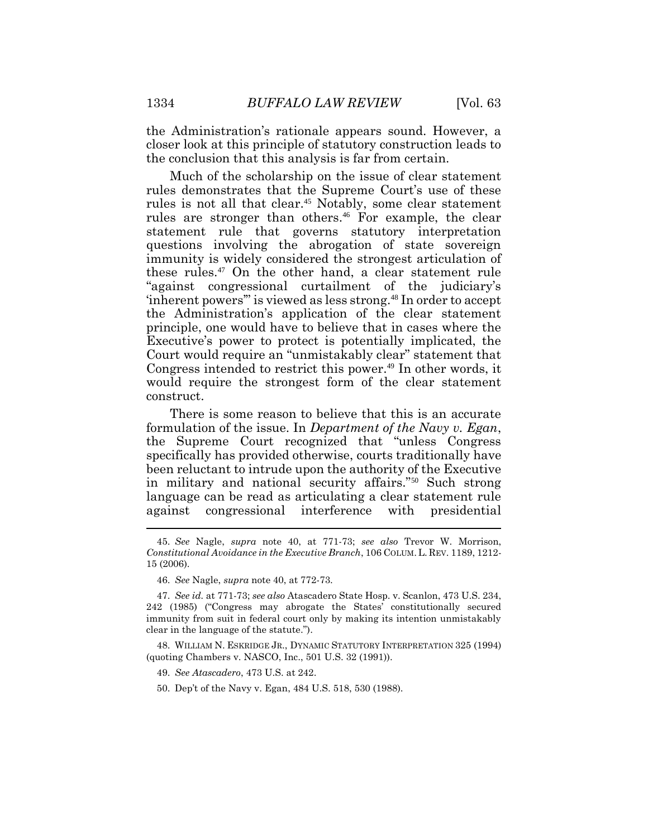the Administration's rationale appears sound. However, a closer look at this principle of statutory construction leads to the conclusion that this analysis is far from certain.

Much of the scholarship on the issue of clear statement rules demonstrates that the Supreme Court's use of these rules is not all that clear.<sup>45</sup> Notably, some clear statement rules are stronger than others.<sup>46</sup> For example, the clear statement rule that governs statutory interpretation questions involving the abrogation of state sovereign immunity is widely considered the strongest articulation of these rules.<sup>47</sup> On the other hand, a clear statement rule "against congressional curtailment of the judiciary's 'inherent powers'" is viewed as less strong.<sup>48</sup> In order to accept the Administration's application of the clear statement principle, one would have to believe that in cases where the Executive's power to protect is potentially implicated, the Court would require an "unmistakably clear" statement that Congress intended to restrict this power.<sup>49</sup> In other words, it would require the strongest form of the clear statement construct.

There is some reason to believe that this is an accurate formulation of the issue. In *Department of the Navy v. Egan*, the Supreme Court recognized that "unless Congress specifically has provided otherwise, courts traditionally have been reluctant to intrude upon the authority of the Executive in military and national security affairs."<sup>50</sup> Such strong language can be read as articulating a clear statement rule against congressional interference with presidential

<sup>45.</sup> *See* Nagle, *supra* note 40, at 771-73; *see also* Trevor W. Morrison, *Constitutional Avoidance in the Executive Branch*, 106 COLUM.L. REV. 1189, 1212- 15 (2006).

<sup>46.</sup> *See* Nagle, *supra* note 40, at 772-73.

<sup>47.</sup> *See id.* at 771-73; *see also* Atascadero State Hosp. v. Scanlon, 473 U.S. 234, 242 (1985) ("Congress may abrogate the States' constitutionally secured immunity from suit in federal court only by making its intention unmistakably clear in the language of the statute.").

<sup>48.</sup> WILLIAM N. ESKRIDGE JR., DYNAMIC STATUTORY INTERPRETATION 325 (1994) (quoting Chambers v. NASCO, Inc., 501 U.S. 32 (1991)).

<sup>49.</sup> *See Atascadero*, 473 U.S. at 242.

<sup>50.</sup> Dep't of the Navy v. Egan, 484 U.S. 518, 530 (1988).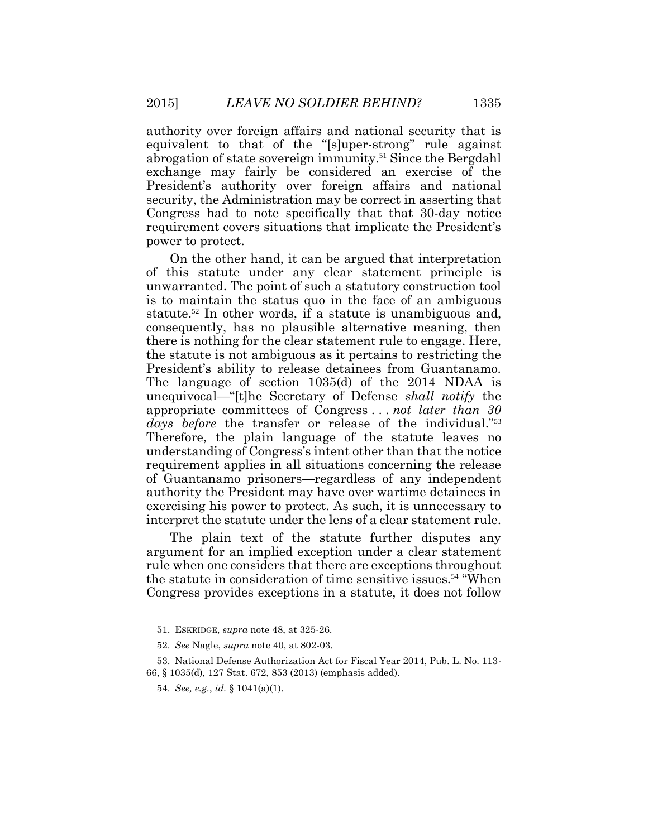authority over foreign affairs and national security that is equivalent to that of the "[s]uper-strong" rule against abrogation of state sovereign immunity.<sup>51</sup> Since the Bergdahl exchange may fairly be considered an exercise of the President's authority over foreign affairs and national security, the Administration may be correct in asserting that Congress had to note specifically that that 30-day notice requirement covers situations that implicate the President's power to protect.

On the other hand, it can be argued that interpretation of this statute under any clear statement principle is unwarranted. The point of such a statutory construction tool is to maintain the status quo in the face of an ambiguous statute.<sup>52</sup> In other words, if a statute is unambiguous and, consequently, has no plausible alternative meaning, then there is nothing for the clear statement rule to engage. Here, the statute is not ambiguous as it pertains to restricting the President's ability to release detainees from Guantanamo. The language of section 1035(d) of the 2014 NDAA is unequivocal—"[t]he Secretary of Defense *shall notify* the appropriate committees of Congress . . . *not later than 30*  days before the transfer or release of the individual."<sup>53</sup> Therefore, the plain language of the statute leaves no understanding of Congress's intent other than that the notice requirement applies in all situations concerning the release of Guantanamo prisoners—regardless of any independent authority the President may have over wartime detainees in exercising his power to protect. As such, it is unnecessary to interpret the statute under the lens of a clear statement rule.

The plain text of the statute further disputes any argument for an implied exception under a clear statement rule when one considers that there are exceptions throughout the statute in consideration of time sensitive issues.<sup>54</sup> "When Congress provides exceptions in a statute, it does not follow

<sup>51.</sup> ESKRIDGE, *supra* note 48, at 325-26.

<sup>52.</sup> *See* Nagle, *supra* note 40, at 802-03.

<sup>53.</sup> National Defense Authorization Act for Fiscal Year 2014, Pub. L. No. 113- 66, § 1035(d), 127 Stat. 672, 853 (2013) (emphasis added).

<sup>54.</sup> *See, e.g.*, *id.* § 1041(a)(1).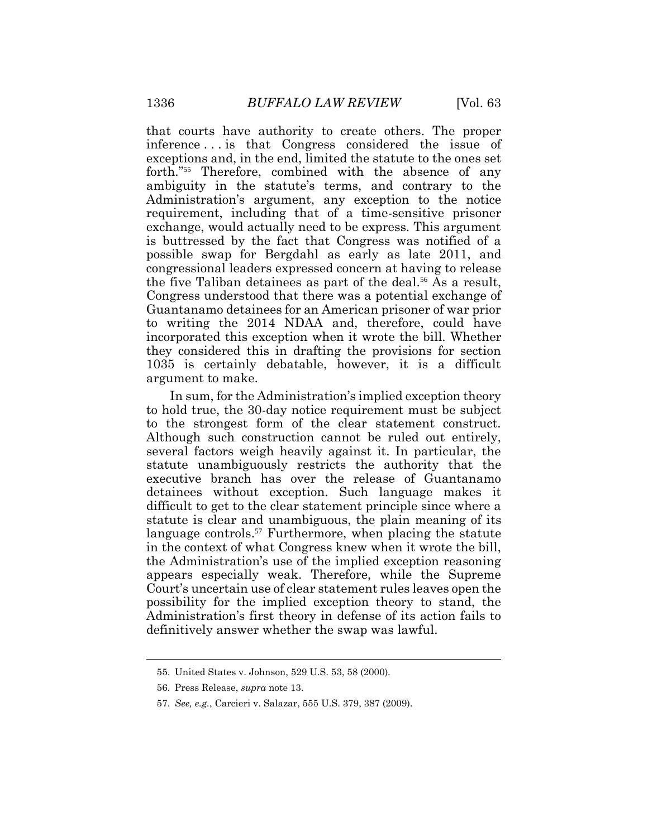that courts have authority to create others. The proper inference . . . is that Congress considered the issue of exceptions and, in the end, limited the statute to the ones set forth."<sup>55</sup> Therefore, combined with the absence of any ambiguity in the statute's terms, and contrary to the Administration's argument, any exception to the notice requirement, including that of a time-sensitive prisoner exchange, would actually need to be express. This argument is buttressed by the fact that Congress was notified of a possible swap for Bergdahl as early as late 2011, and congressional leaders expressed concern at having to release the five Taliban detainees as part of the deal.<sup>56</sup> As a result, Congress understood that there was a potential exchange of Guantanamo detainees for an American prisoner of war prior to writing the 2014 NDAA and, therefore, could have incorporated this exception when it wrote the bill. Whether they considered this in drafting the provisions for section 1035 is certainly debatable, however, it is a difficult argument to make.

In sum, for the Administration's implied exception theory to hold true, the 30-day notice requirement must be subject to the strongest form of the clear statement construct. Although such construction cannot be ruled out entirely, several factors weigh heavily against it. In particular, the statute unambiguously restricts the authority that the executive branch has over the release of Guantanamo detainees without exception. Such language makes it difficult to get to the clear statement principle since where a statute is clear and unambiguous, the plain meaning of its language controls.<sup>57</sup> Furthermore, when placing the statute in the context of what Congress knew when it wrote the bill, the Administration's use of the implied exception reasoning appears especially weak. Therefore, while the Supreme Court's uncertain use of clear statement rules leaves open the possibility for the implied exception theory to stand, the Administration's first theory in defense of its action fails to definitively answer whether the swap was lawful.

<sup>55.</sup> United States v. Johnson, 529 U.S. 53, 58 (2000).

<sup>56.</sup> Press Release, *supra* note 13.

<sup>57.</sup> *See, e.g.*, Carcieri v. Salazar, 555 U.S. 379, 387 (2009).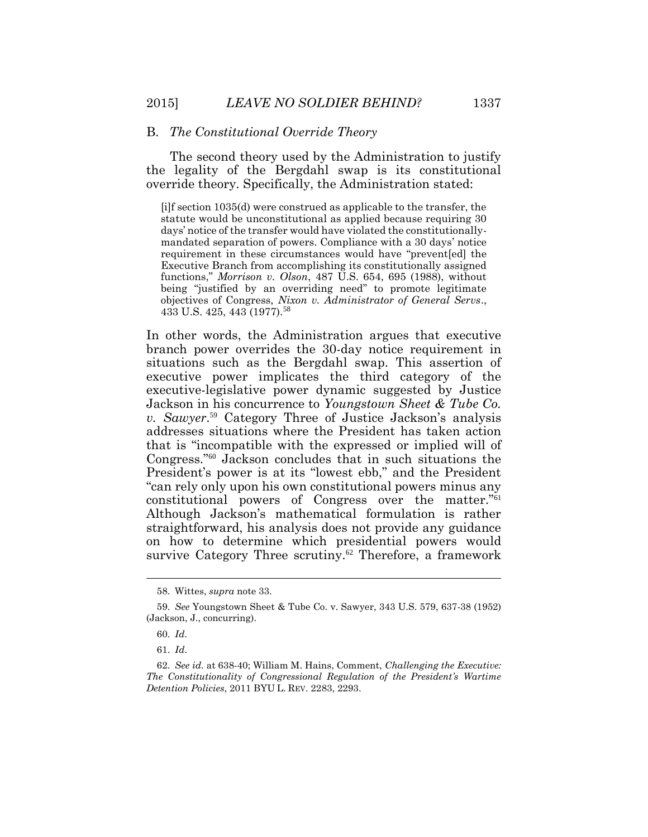#### B. *The Constitutional Override Theory*

The second theory used by the Administration to justify the legality of the Bergdahl swap is its constitutional override theory. Specifically, the Administration stated:

[i]f section 1035(d) were construed as applicable to the transfer, the statute would be unconstitutional as applied because requiring 30 days' notice of the transfer would have violated the constitutionallymandated separation of powers. Compliance with a 30 days' notice requirement in these circumstances would have "prevent[ed] the Executive Branch from accomplishing its constitutionally assigned functions," *Morrison v. Olson*, 487 U.S. 654, 695 (1988), without being "justified by an overriding need" to promote legitimate objectives of Congress, *Nixon v. Administrator of General Servs*., 433 U.S. 425, 443 (1977).<sup>58</sup>

In other words, the Administration argues that executive branch power overrides the 30-day notice requirement in situations such as the Bergdahl swap. This assertion of executive power implicates the third category of the executive-legislative power dynamic suggested by Justice Jackson in his concurrence to *Youngstown Sheet & Tube Co. v. Sawyer*. <sup>59</sup> Category Three of Justice Jackson's analysis addresses situations where the President has taken action that is "incompatible with the expressed or implied will of Congress."60 Jackson concludes that in such situations the President's power is at its "lowest ebb," and the President "can rely only upon his own constitutional powers minus any constitutional powers of Congress over the matter."<sup>61</sup> Although Jackson's mathematical formulation is rather straightforward, his analysis does not provide any guidance on how to determine which presidential powers would survive Category Three scrutiny.<sup>62</sup> Therefore, a framework

<sup>58.</sup> Wittes, *supra* note 33.

<sup>59.</sup> *See* Youngstown Sheet & Tube Co. v. Sawyer, 343 U.S. 579, 637-38 (1952) (Jackson, J., concurring).

<sup>60.</sup> *Id*.

<sup>61.</sup> *Id*.

<sup>62.</sup> *See id.* at 638-40; William M. Hains, Comment, *Challenging the Executive: The Constitutionality of Congressional Regulation of the President's Wartime Detention Policies*, 2011 BYU L. REV. 2283, 2293.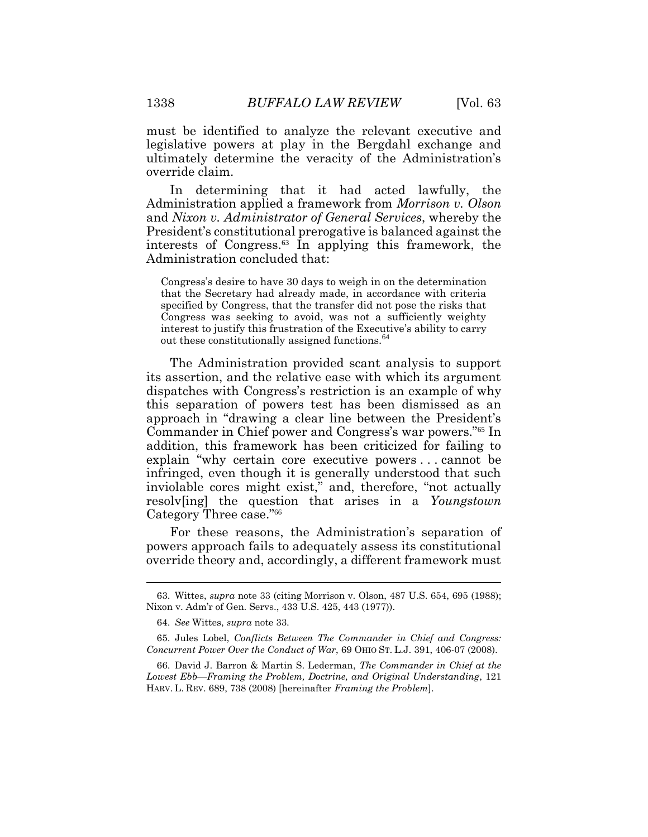must be identified to analyze the relevant executive and legislative powers at play in the Bergdahl exchange and ultimately determine the veracity of the Administration's override claim.

In determining that it had acted lawfully, the Administration applied a framework from *Morrison v. Olson* and *Nixon v. Administrator of General Services*, whereby the President's constitutional prerogative is balanced against the interests of Congress.<sup>63</sup> In applying this framework, the Administration concluded that:

Congress's desire to have 30 days to weigh in on the determination that the Secretary had already made, in accordance with criteria specified by Congress, that the transfer did not pose the risks that Congress was seeking to avoid, was not a sufficiently weighty interest to justify this frustration of the Executive's ability to carry out these constitutionally assigned functions.<sup>64</sup>

The Administration provided scant analysis to support its assertion, and the relative ease with which its argument dispatches with Congress's restriction is an example of why this separation of powers test has been dismissed as an approach in "drawing a clear line between the President's Commander in Chief power and Congress's war powers."<sup>65</sup> In addition, this framework has been criticized for failing to explain "why certain core executive powers . . . cannot be infringed, even though it is generally understood that such inviolable cores might exist," and, therefore, "not actually resolv[ing] the question that arises in a *Youngstown* Category Three case."<sup>66</sup>

For these reasons, the Administration's separation of powers approach fails to adequately assess its constitutional override theory and, accordingly, a different framework must

<sup>63.</sup> Wittes, *supra* note 33 (citing Morrison v. Olson, 487 U.S. 654, 695 (1988); Nixon v. Adm'r of Gen. Servs., 433 U.S. 425, 443 (1977)).

<sup>64.</sup> *See* Wittes, *supra* note 33.

<sup>65.</sup> Jules Lobel, *Conflicts Between The Commander in Chief and Congress: Concurrent Power Over the Conduct of War*, 69 OHIO ST. L.J. 391, 406-07 (2008).

<sup>66.</sup> David J. Barron & Martin S. Lederman, *The Commander in Chief at the Lowest Ebb—Framing the Problem, Doctrine, and Original Understanding*, 121 HARV. L. REV. 689, 738 (2008) [hereinafter *Framing the Problem*].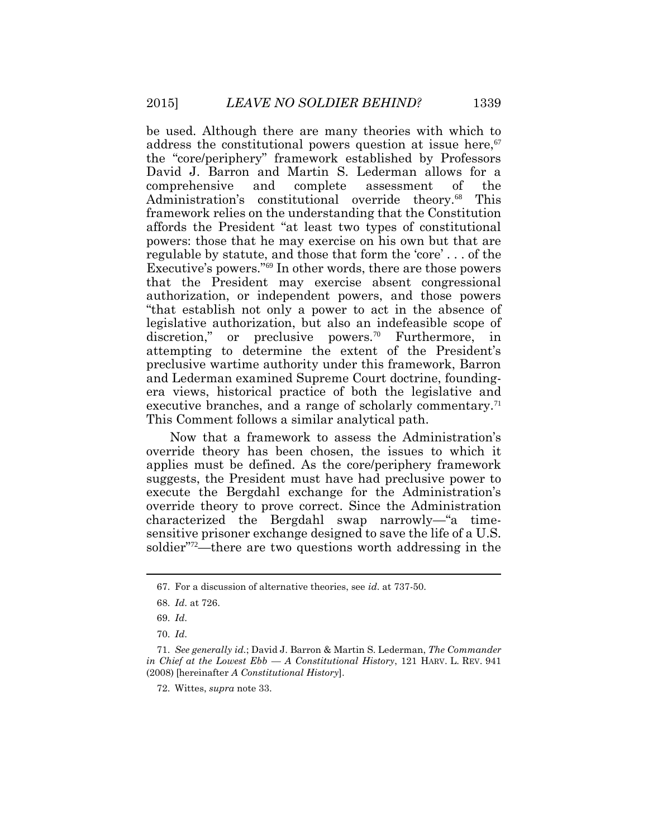be used. Although there are many theories with which to address the constitutional powers question at issue here,  $\sigma$ the "core/periphery" framework established by Professors David J. Barron and Martin S. Lederman allows for a comprehensive and complete assessment of the Administration's constitutional override theory.<sup>68</sup> This framework relies on the understanding that the Constitution affords the President "at least two types of constitutional powers: those that he may exercise on his own but that are regulable by statute, and those that form the 'core' . . . of the Executive's powers."<sup>69</sup> In other words, there are those powers. that the President may exercise absent congressional authorization, or independent powers, and those powers "that establish not only a power to act in the absence of legislative authorization, but also an indefeasible scope of discretion," or preclusive powers.<sup>70</sup> Furthermore, in attempting to determine the extent of the President's preclusive wartime authority under this framework, Barron and Lederman examined Supreme Court doctrine, foundingera views, historical practice of both the legislative and executive branches, and a range of scholarly commentary.<sup>71</sup> This Comment follows a similar analytical path.

Now that a framework to assess the Administration's override theory has been chosen, the issues to which it applies must be defined. As the core/periphery framework suggests, the President must have had preclusive power to execute the Bergdahl exchange for the Administration's override theory to prove correct. Since the Administration characterized the Bergdahl swap narrowly—"a timesensitive prisoner exchange designed to save the life of a U.S. soldier"72—there are two questions worth addressing in the

<sup>67.</sup> For a discussion of alternative theories, see *id*. at 737-50.

<sup>68.</sup> *Id*. at 726.

<sup>69.</sup> *Id*.

<sup>70.</sup> *Id*.

<sup>71.</sup> *See generally id.*; David J. Barron & Martin S. Lederman, *The Commander in Chief at the Lowest Ebb — A Constitutional History*, 121 HARV. L. REV. 941 (2008) [hereinafter *A Constitutional History*].

<sup>72.</sup> Wittes, *supra* note 33.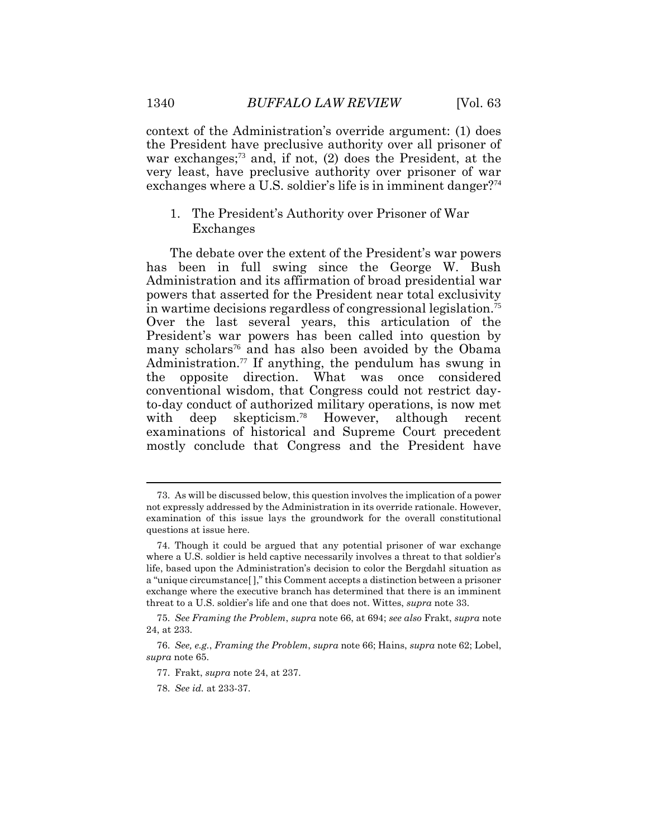context of the Administration's override argument: (1) does the President have preclusive authority over all prisoner of war exchanges;73 and, if not, (2) does the President, at the very least, have preclusive authority over prisoner of war exchanges where a U.S. soldier's life is in imminent danger?<sup>74</sup>

# 1. The President's Authority over Prisoner of War Exchanges

The debate over the extent of the President's war powers has been in full swing since the George W. Bush Administration and its affirmation of broad presidential war powers that asserted for the President near total exclusivity in wartime decisions regardless of congressional legislation.<sup>75</sup> Over the last several years, this articulation of the President's war powers has been called into question by many scholars<sup>76</sup> and has also been avoided by the Obama Administration.77 If anything, the pendulum has swung in the opposite direction. What was once considered conventional wisdom, that Congress could not restrict dayto-day conduct of authorized military operations, is now met with deep skepticism.<sup>78</sup> However, although recent examinations of historical and Supreme Court precedent mostly conclude that Congress and the President have

 $\overline{a}$ 

<sup>73.</sup> As will be discussed below, this question involves the implication of a power not expressly addressed by the Administration in its override rationale. However, examination of this issue lays the groundwork for the overall constitutional questions at issue here.

<sup>74.</sup> Though it could be argued that any potential prisoner of war exchange where a U.S. soldier is held captive necessarily involves a threat to that soldier's life, based upon the Administration's decision to color the Bergdahl situation as a "unique circumstance[ ]," this Comment accepts a distinction between a prisoner exchange where the executive branch has determined that there is an imminent threat to a U.S. soldier's life and one that does not. Wittes, *supra* note 33.

<sup>75.</sup> *See Framing the Problem*, *supra* note 66, at 694; *see also* Frakt, *supra* note 24, at 233.

<sup>76.</sup> *See, e.g.*, *Framing the Problem*, *supra* note 66; Hains, *supra* note 62; Lobel, *supra* note 65.

<sup>77.</sup> Frakt, *supra* note 24, at 237.

<sup>78.</sup> *See id.* at 233-37.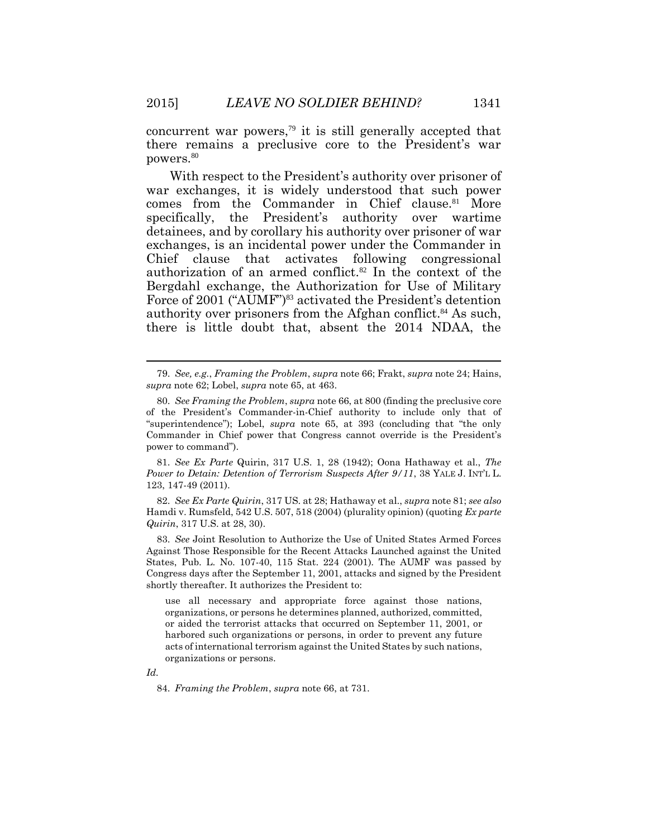concurrent war powers,<sup> $79$ </sup> it is still generally accepted that there remains a preclusive core to the President's war powers.<sup>80</sup>

With respect to the President's authority over prisoner of war exchanges, it is widely understood that such power comes from the Commander in Chief clause.<sup>81</sup> More specifically, the President's authority over wartime detainees, and by corollary his authority over prisoner of war exchanges, is an incidental power under the Commander in Chief clause that activates following congressional authorization of an armed conflict.<sup>82</sup> In the context of the Bergdahl exchange, the Authorization for Use of Military Force of 2001 ("AUMF")<sup>83</sup> activated the President's detention authority over prisoners from the Afghan conflict.<sup>84</sup> As such, there is little doubt that, absent the 2014 NDAA, the

81. *See Ex Parte* Quirin, 317 U.S. 1, 28 (1942); Oona Hathaway et al., *The Power to Detain: Detention of Terrorism Suspects After 9/11*, 38 YALE J. INT'L L. 123, 147-49 (2011).

82. *See Ex Parte Quirin*, 317 US. at 28; Hathaway et al., *supra* note 81; *see also* Hamdi v. Rumsfeld, 542 U.S. 507, 518 (2004) (plurality opinion) (quoting *Ex parte Quirin*, 317 U.S. at 28, 30).

83. *See* Joint Resolution to Authorize the Use of United States Armed Forces Against Those Responsible for the Recent Attacks Launched against the United States, Pub. L. No. 107-40, 115 Stat. 224 (2001). The AUMF was passed by Congress days after the September 11, 2001, attacks and signed by the President shortly thereafter. It authorizes the President to:

use all necessary and appropriate force against those nations, organizations, or persons he determines planned, authorized, committed, or aided the terrorist attacks that occurred on September 11, 2001, or harbored such organizations or persons, in order to prevent any future acts of international terrorism against the United States by such nations, organizations or persons.

*Id.*

84. *Framing the Problem*, *supra* note 66, at 731.

<sup>79.</sup> *See, e.g.*, *Framing the Problem*, *supra* note 66; Frakt, *supra* note 24; Hains, *supra* note 62; Lobel, *supra* note 65, at 463.

<sup>80.</sup> *See Framing the Problem*, *supra* note 66, at 800 (finding the preclusive core of the President's Commander-in-Chief authority to include only that of "superintendence"); Lobel, *supra* note 65, at 393 (concluding that "the only Commander in Chief power that Congress cannot override is the President's power to command").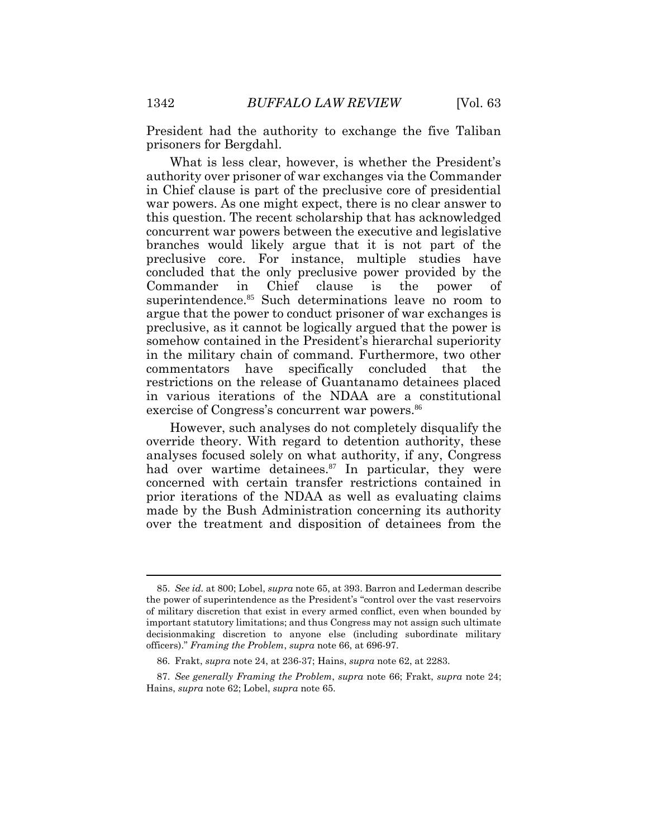President had the authority to exchange the five Taliban prisoners for Bergdahl.

What is less clear, however, is whether the President's authority over prisoner of war exchanges via the Commander in Chief clause is part of the preclusive core of presidential war powers. As one might expect, there is no clear answer to this question. The recent scholarship that has acknowledged concurrent war powers between the executive and legislative branches would likely argue that it is not part of the preclusive core. For instance, multiple studies have concluded that the only preclusive power provided by the Commander in Chief clause is the power of superintendence.<sup>85</sup> Such determinations leave no room to argue that the power to conduct prisoner of war exchanges is preclusive, as it cannot be logically argued that the power is somehow contained in the President's hierarchal superiority in the military chain of command. Furthermore, two other commentators have specifically concluded that the restrictions on the release of Guantanamo detainees placed in various iterations of the NDAA are a constitutional exercise of Congress's concurrent war powers.<sup>86</sup>

However, such analyses do not completely disqualify the override theory. With regard to detention authority, these analyses focused solely on what authority, if any, Congress had over wartime detainees.<sup>87</sup> In particular, they were concerned with certain transfer restrictions contained in prior iterations of the NDAA as well as evaluating claims made by the Bush Administration concerning its authority over the treatment and disposition of detainees from the

<sup>85.</sup> *See id.* at 800; Lobel, *supra* note 65, at 393. Barron and Lederman describe the power of superintendence as the President's "control over the vast reservoirs of military discretion that exist in every armed conflict, even when bounded by important statutory limitations; and thus Congress may not assign such ultimate decisionmaking discretion to anyone else (including subordinate military officers)." *Framing the Problem*, *supra* note 66, at 696-97.

<sup>86.</sup> Frakt, *supra* note 24, at 236-37; Hains, *supra* note 62, at 2283.

<sup>87.</sup> *See generally Framing the Problem*, *supra* note 66; Frakt, *supra* note 24; Hains, *supra* note 62; Lobel, *supra* note 65.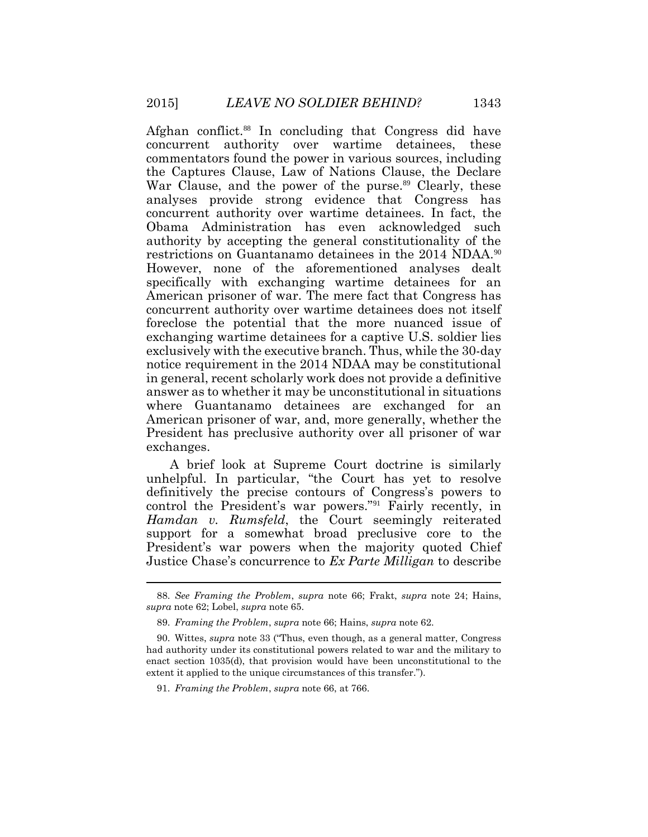Afghan conflict.<sup>88</sup> In concluding that Congress did have concurrent authority over wartime detainees, these commentators found the power in various sources, including the Captures Clause, Law of Nations Clause, the Declare War Clause, and the power of the purse.<sup>89</sup> Clearly, these analyses provide strong evidence that Congress has concurrent authority over wartime detainees. In fact, the Obama Administration has even acknowledged such authority by accepting the general constitutionality of the restrictions on Guantanamo detainees in the 2014 NDAA.<sup>90</sup> However, none of the aforementioned analyses dealt specifically with exchanging wartime detainees for an American prisoner of war. The mere fact that Congress has concurrent authority over wartime detainees does not itself foreclose the potential that the more nuanced issue of exchanging wartime detainees for a captive U.S. soldier lies exclusively with the executive branch. Thus, while the 30-day notice requirement in the 2014 NDAA may be constitutional in general, recent scholarly work does not provide a definitive answer as to whether it may be unconstitutional in situations where Guantanamo detainees are exchanged for an American prisoner of war, and, more generally, whether the President has preclusive authority over all prisoner of war exchanges.

A brief look at Supreme Court doctrine is similarly unhelpful. In particular, "the Court has yet to resolve definitively the precise contours of Congress's powers to control the President's war powers."<sup>91</sup> Fairly recently, in *Hamdan v. Rumsfeld*, the Court seemingly reiterated support for a somewhat broad preclusive core to the President's war powers when the majority quoted Chief Justice Chase's concurrence to *Ex Parte Milligan* to describe

<sup>88.</sup> *See Framing the Problem*, *supra* note 66; Frakt, *supra* note 24; Hains, *supra* note 62; Lobel, *supra* note 65.

<sup>89.</sup> *Framing the Problem*, *supra* note 66; Hains, *supra* note 62.

<sup>90.</sup> Wittes, *supra* note 33 ("Thus, even though, as a general matter, Congress had authority under its constitutional powers related to war and the military to enact section 1035(d), that provision would have been unconstitutional to the extent it applied to the unique circumstances of this transfer.").

<sup>91.</sup> *Framing the Problem*, *supra* note 66, at 766.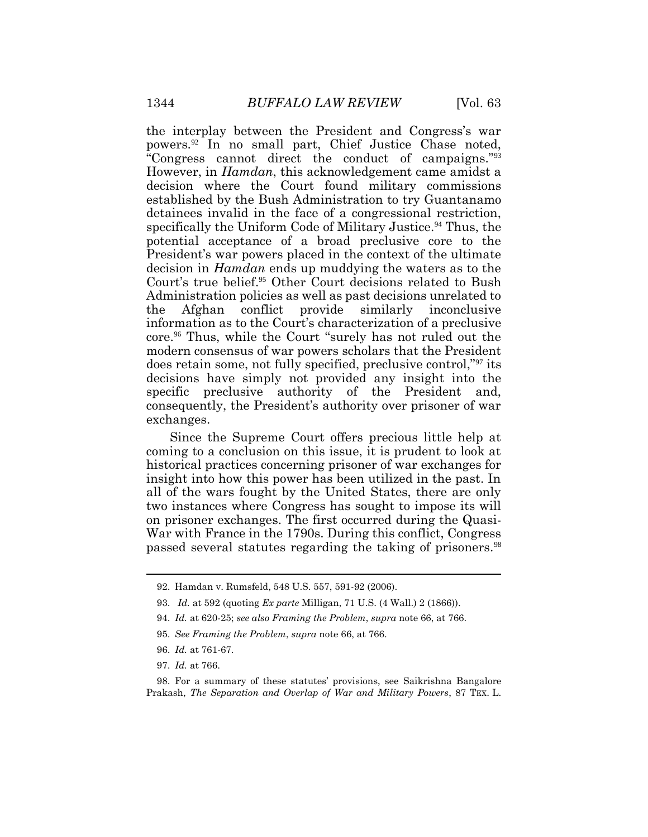the interplay between the President and Congress's war powers.<sup>92</sup> In no small part, Chief Justice Chase noted, "Congress cannot direct the conduct of campaigns."<sup>93</sup> However, in *Hamdan*, this acknowledgement came amidst a decision where the Court found military commissions established by the Bush Administration to try Guantanamo detainees invalid in the face of a congressional restriction, specifically the Uniform Code of Military Justice.<sup>94</sup> Thus, the potential acceptance of a broad preclusive core to the President's war powers placed in the context of the ultimate decision in *Hamdan* ends up muddying the waters as to the Court's true belief.<sup>95</sup> Other Court decisions related to Bush Administration policies as well as past decisions unrelated to the Afghan conflict provide similarly inconclusive information as to the Court's characterization of a preclusive core.<sup>96</sup> Thus, while the Court "surely has not ruled out the modern consensus of war powers scholars that the President does retain some, not fully specified, preclusive control,"<sup>97</sup> its decisions have simply not provided any insight into the specific preclusive authority of the President and, consequently, the President's authority over prisoner of war exchanges.

Since the Supreme Court offers precious little help at coming to a conclusion on this issue, it is prudent to look at historical practices concerning prisoner of war exchanges for insight into how this power has been utilized in the past. In all of the wars fought by the United States, there are only two instances where Congress has sought to impose its will on prisoner exchanges. The first occurred during the Quasi-War with France in the 1790s. During this conflict, Congress passed several statutes regarding the taking of prisoners.<sup>98</sup>

98. For a summary of these statutes' provisions, see Saikrishna Bangalore Prakash, *The Separation and Overlap of War and Military Powers*, 87 TEX. L.

<sup>92.</sup> Hamdan v. Rumsfeld, 548 U.S. 557, 591-92 (2006).

<sup>93.</sup> *Id.* at 592 (quoting *Ex parte* Milligan, 71 U.S. (4 Wall.) 2 (1866)).

<sup>94.</sup> *Id.* at 620-25; *see also Framing the Problem*, *supra* note 66, at 766.

<sup>95.</sup> *See Framing the Problem*, *supra* note 66, at 766.

<sup>96.</sup> *Id.* at 761-67.

<sup>97.</sup> *Id.* at 766.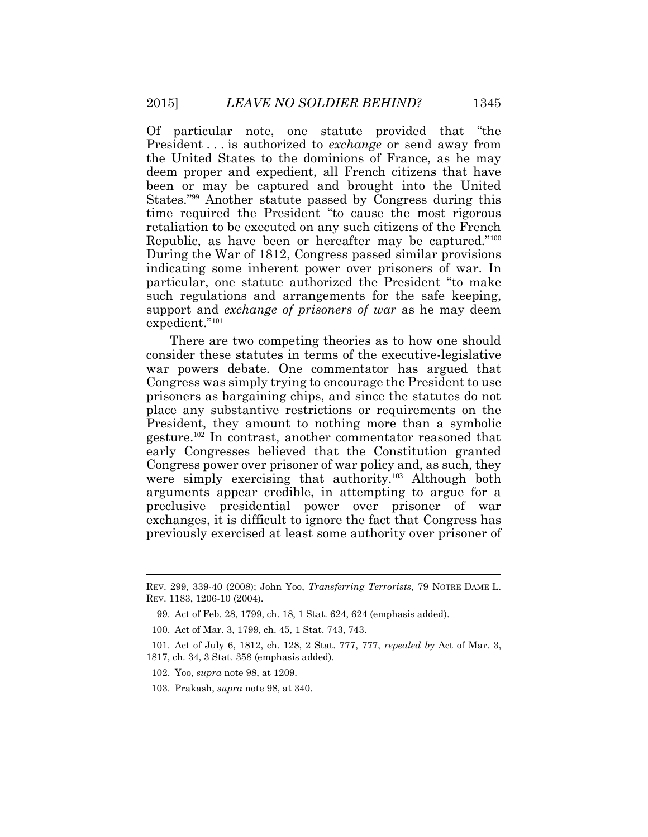Of particular note, one statute provided that "the President . . . is authorized to *exchange* or send away from the United States to the dominions of France, as he may deem proper and expedient, all French citizens that have been or may be captured and brought into the United States."<sup>99</sup> Another statute passed by Congress during this time required the President "to cause the most rigorous retaliation to be executed on any such citizens of the French Republic, as have been or hereafter may be captured."<sup>100</sup> During the War of 1812, Congress passed similar provisions indicating some inherent power over prisoners of war. In particular, one statute authorized the President "to make such regulations and arrangements for the safe keeping, support and *exchange of prisoners of war* as he may deem expedient." 101

There are two competing theories as to how one should consider these statutes in terms of the executive-legislative war powers debate. One commentator has argued that Congress was simply trying to encourage the President to use prisoners as bargaining chips, and since the statutes do not place any substantive restrictions or requirements on the President, they amount to nothing more than a symbolic gesture.<sup>102</sup> In contrast, another commentator reasoned that early Congresses believed that the Constitution granted Congress power over prisoner of war policy and, as such, they were simply exercising that authority.<sup>103</sup> Although both arguments appear credible, in attempting to argue for a preclusive presidential power over prisoner of war exchanges, it is difficult to ignore the fact that Congress has previously exercised at least some authority over prisoner of

REV. 299, 339-40 (2008); John Yoo, *Transferring Terrorists*, 79 NOTRE DAME L. REV. 1183, 1206-10 (2004).

<sup>99.</sup> Act of Feb. 28, 1799, ch. 18, 1 Stat. 624, 624 (emphasis added).

<sup>100.</sup> Act of Mar. 3, 1799, ch. 45, 1 Stat. 743, 743.

<sup>101.</sup> Act of July 6, 1812, ch. 128, 2 Stat. 777, 777, *repealed by* Act of Mar. 3, 1817, ch. 34, 3 Stat. 358 (emphasis added).

<sup>102.</sup> Yoo, *supra* note 98, at 1209.

<sup>103.</sup> Prakash, *supra* note 98, at 340.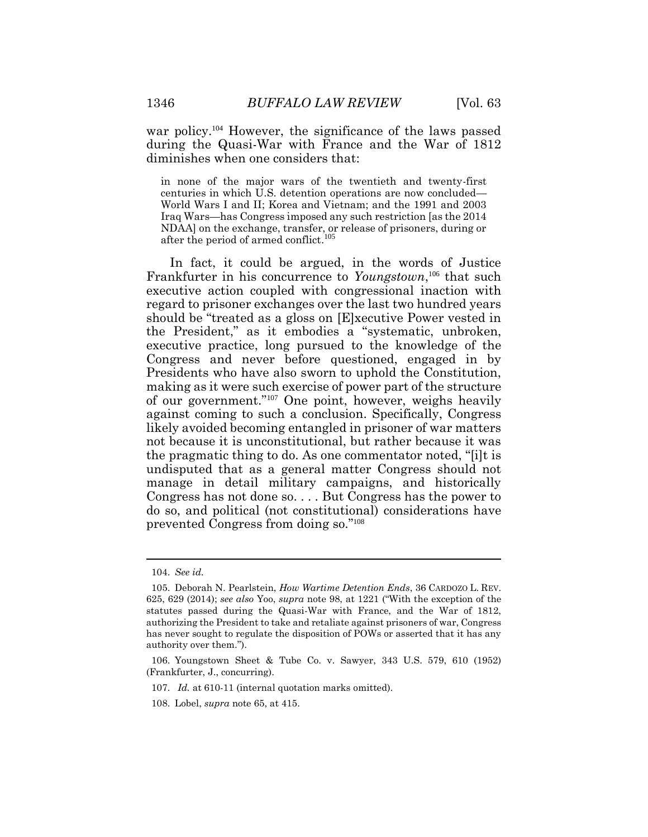war policy.<sup>104</sup> However, the significance of the laws passed during the Quasi-War with France and the War of 1812 diminishes when one considers that:

in none of the major wars of the twentieth and twenty-first centuries in which U.S. detention operations are now concluded— World Wars I and II; Korea and Vietnam; and the 1991 and 2003 Iraq Wars—has Congress imposed any such restriction [as the 2014 NDAA] on the exchange, transfer, or release of prisoners, during or after the period of armed conflict. 105

In fact, it could be argued, in the words of Justice Frankfurter in his concurrence to *Youngstown*,<sup>106</sup> that such executive action coupled with congressional inaction with regard to prisoner exchanges over the last two hundred years should be "treated as a gloss on [E]xecutive Power vested in the President," as it embodies a "systematic, unbroken, executive practice, long pursued to the knowledge of the Congress and never before questioned, engaged in by Presidents who have also sworn to uphold the Constitution, making as it were such exercise of power part of the structure of our government."<sup>107</sup> One point, however, weighs heavily against coming to such a conclusion. Specifically, Congress likely avoided becoming entangled in prisoner of war matters not because it is unconstitutional, but rather because it was the pragmatic thing to do. As one commentator noted, "[i]t is undisputed that as a general matter Congress should not manage in detail military campaigns, and historically Congress has not done so. . . . But Congress has the power to do so, and political (not constitutional) considerations have prevented Congress from doing so." 108

<sup>104.</sup> *See id.*

<sup>105.</sup> Deborah N. Pearlstein, *How Wartime Detention Ends*, 36 CARDOZO L. REV. 625, 629 (2014); *see also* Yoo, *supra* note 98, at 1221 ("With the exception of the statutes passed during the Quasi-War with France, and the War of 1812, authorizing the President to take and retaliate against prisoners of war, Congress has never sought to regulate the disposition of POWs or asserted that it has any authority over them.").

<sup>106.</sup> Youngstown Sheet & Tube Co. v. Sawyer, 343 U.S. 579, 610 (1952) (Frankfurter, J., concurring).

<sup>107.</sup> *Id.* at 610-11 (internal quotation marks omitted).

<sup>108.</sup> Lobel, *supra* note 65, at 415.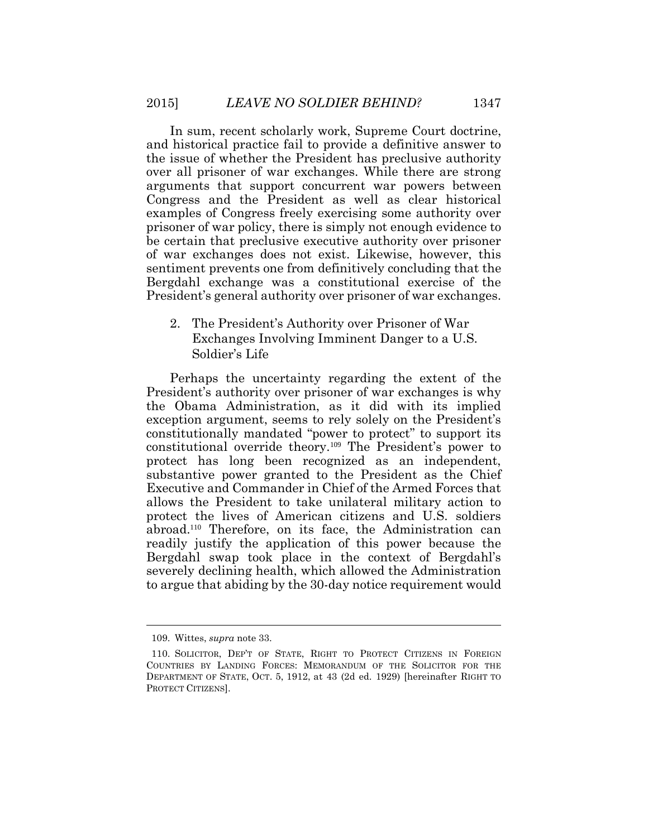In sum, recent scholarly work, Supreme Court doctrine, and historical practice fail to provide a definitive answer to the issue of whether the President has preclusive authority over all prisoner of war exchanges. While there are strong arguments that support concurrent war powers between Congress and the President as well as clear historical examples of Congress freely exercising some authority over prisoner of war policy, there is simply not enough evidence to be certain that preclusive executive authority over prisoner of war exchanges does not exist. Likewise, however, this sentiment prevents one from definitively concluding that the Bergdahl exchange was a constitutional exercise of the President's general authority over prisoner of war exchanges.

2. The President's Authority over Prisoner of War Exchanges Involving Imminent Danger to a U.S. Soldier's Life

Perhaps the uncertainty regarding the extent of the President's authority over prisoner of war exchanges is why the Obama Administration, as it did with its implied exception argument, seems to rely solely on the President's constitutionally mandated "power to protect" to support its constitutional override theory.<sup>109</sup> The President's power to protect has long been recognized as an independent, substantive power granted to the President as the Chief Executive and Commander in Chief of the Armed Forces that allows the President to take unilateral military action to protect the lives of American citizens and U.S. soldiers abroad.110 Therefore, on its face, the Administration can readily justify the application of this power because the Bergdahl swap took place in the context of Bergdahl's severely declining health, which allowed the Administration to argue that abiding by the 30-day notice requirement would

 $\overline{a}$ 

<sup>109.</sup> Wittes, *supra* note 33.

<sup>110.</sup> SOLICITOR, DEP'T OF STATE, RIGHT TO PROTECT CITIZENS IN FOREIGN COUNTRIES BY LANDING FORCES: MEMORANDUM OF THE SOLICITOR FOR THE DEPARTMENT OF STATE, OCT. 5, 1912, at 43 (2d ed. 1929) [hereinafter RIGHT TO PROTECT CITIZENS].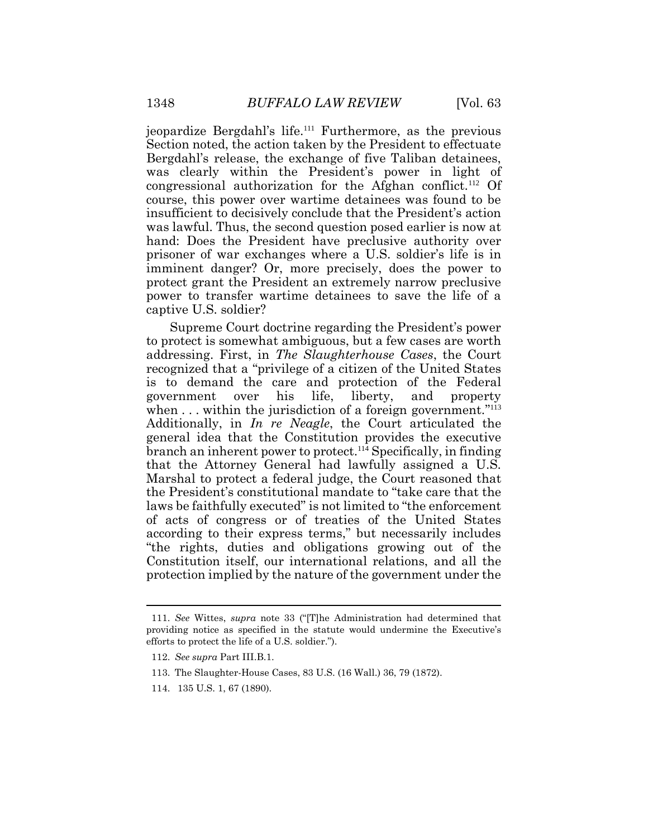jeopardize Bergdahl's life.<sup>111</sup> Furthermore, as the previous Section noted, the action taken by the President to effectuate Bergdahl's release, the exchange of five Taliban detainees, was clearly within the President's power in light of congressional authorization for the Afghan conflict.<sup>112</sup> Of course, this power over wartime detainees was found to be insufficient to decisively conclude that the President's action was lawful. Thus, the second question posed earlier is now at hand: Does the President have preclusive authority over prisoner of war exchanges where a U.S. soldier's life is in imminent danger? Or, more precisely, does the power to protect grant the President an extremely narrow preclusive power to transfer wartime detainees to save the life of a captive U.S. soldier?

Supreme Court doctrine regarding the President's power to protect is somewhat ambiguous, but a few cases are worth addressing. First, in *The Slaughterhouse Cases*, the Court recognized that a "privilege of a citizen of the United States is to demand the care and protection of the Federal government over his life, liberty, and property when . . . within the jurisdiction of a foreign government."<sup>113</sup> Additionally, in *In re Neagle*, the Court articulated the general idea that the Constitution provides the executive branch an inherent power to protect.<sup>114</sup> Specifically, in finding that the Attorney General had lawfully assigned a U.S. Marshal to protect a federal judge, the Court reasoned that the President's constitutional mandate to "take care that the laws be faithfully executed" is not limited to "the enforcement of acts of congress or of treaties of the United States according to their express terms," but necessarily includes "the rights, duties and obligations growing out of the Constitution itself, our international relations, and all the protection implied by the nature of the government under the

<sup>111.</sup> *See* Wittes, *supra* note 33 ("[T]he Administration had determined that providing notice as specified in the statute would undermine the Executive's efforts to protect the life of a U.S. soldier.").

<sup>112.</sup> *See supra* Part III.B.1.

<sup>113.</sup> The Slaughter-House Cases, 83 U.S. (16 Wall.) 36, 79 (1872).

<sup>114.</sup> 135 U.S. 1, 67 (1890).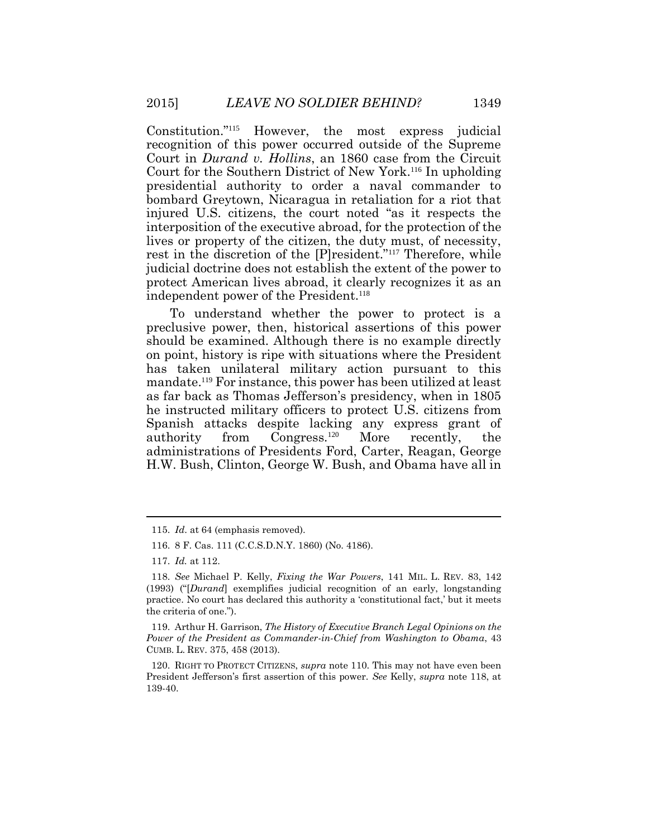Constitution."<sup>115</sup> However, the most express judicial recognition of this power occurred outside of the Supreme Court in *Durand v. Hollins*, an 1860 case from the Circuit Court for the Southern District of New York.<sup>116</sup> In upholding presidential authority to order a naval commander to bombard Greytown, Nicaragua in retaliation for a riot that injured U.S. citizens, the court noted "as it respects the interposition of the executive abroad, for the protection of the lives or property of the citizen, the duty must, of necessity, rest in the discretion of the [P]resident."<sup>117</sup> Therefore, while judicial doctrine does not establish the extent of the power to protect American lives abroad, it clearly recognizes it as an independent power of the President.<sup>118</sup>

To understand whether the power to protect is a preclusive power, then, historical assertions of this power should be examined. Although there is no example directly on point, history is ripe with situations where the President has taken unilateral military action pursuant to this mandate.<sup>119</sup> For instance, this power has been utilized at least as far back as Thomas Jefferson's presidency, when in 1805 he instructed military officers to protect U.S. citizens from Spanish attacks despite lacking any express grant of authority from Congress.<sup>120</sup> More recently, the administrations of Presidents Ford, Carter, Reagan, George H.W. Bush, Clinton, George W. Bush, and Obama have all in

<sup>115.</sup> *Id*. at 64 (emphasis removed).

<sup>116.</sup> 8 F. Cas. 111 (C.C.S.D.N.Y. 1860) (No. 4186).

<sup>117.</sup> *Id.* at 112.

<sup>118.</sup> *See* Michael P. Kelly, *Fixing the War Powers*, 141 MIL. L. REV. 83, 142 (1993) ("[*Durand*] exemplifies judicial recognition of an early, longstanding practice. No court has declared this authority a 'constitutional fact,' but it meets the criteria of one.").

<sup>119.</sup> Arthur H. Garrison, *The History of Executive Branch Legal Opinions on the Power of the President as Commander-in-Chief from Washington to Obama*, 43 CUMB. L. REV. 375, 458 (2013).

<sup>120.</sup> RIGHT TO PROTECT CITIZENS, *supra* note 110. This may not have even been President Jefferson's first assertion of this power. *See* Kelly, *supra* note 118, at 139-40.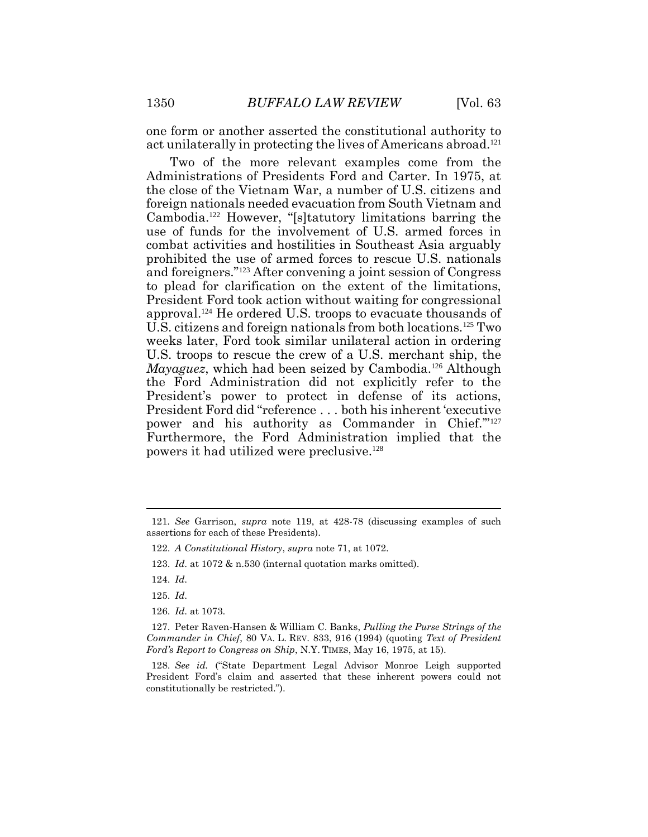one form or another asserted the constitutional authority to act unilaterally in protecting the lives of Americans abroad.<sup>121</sup>

Two of the more relevant examples come from the Administrations of Presidents Ford and Carter. In 1975, at the close of the Vietnam War, a number of U.S. citizens and foreign nationals needed evacuation from South Vietnam and Cambodia.<sup>122</sup> However, "[s]tatutory limitations barring the use of funds for the involvement of U.S. armed forces in combat activities and hostilities in Southeast Asia arguably prohibited the use of armed forces to rescue U.S. nationals and foreigners."<sup>123</sup> After convening a joint session of Congress to plead for clarification on the extent of the limitations, President Ford took action without waiting for congressional approval.<sup>124</sup> He ordered U.S. troops to evacuate thousands of U.S. citizens and foreign nationals from both locations.<sup>125</sup> Two weeks later, Ford took similar unilateral action in ordering U.S. troops to rescue the crew of a U.S. merchant ship, the *Mayaguez*, which had been seized by Cambodia.<sup>126</sup> Although the Ford Administration did not explicitly refer to the President's power to protect in defense of its actions, President Ford did "reference . . . both his inherent 'executive power and his authority as Commander in Chief."<sup>127</sup> Furthermore, the Ford Administration implied that the powers it had utilized were preclusive.<sup>128</sup>

124. *Id*.

125. *Id*.

126. *Id*. at 1073.

<sup>121</sup>*. See* Garrison, *supra* note 119, at 428-78 (discussing examples of such assertions for each of these Presidents).

<sup>122.</sup> *A Constitutional History*, *supra* note 71, at 1072.

<sup>123.</sup> *Id*. at 1072 & n.530 (internal quotation marks omitted).

<sup>127.</sup> Peter Raven-Hansen & William C. Banks, *Pulling the Purse Strings of the Commander in Chief*, 80 VA. L. REV. 833, 916 (1994) (quoting *Text of President Ford's Report to Congress on Ship*, N.Y. TIMES, May 16, 1975, at 15).

<sup>128.</sup> *See id.* ("State Department Legal Advisor Monroe Leigh supported President Ford's claim and asserted that these inherent powers could not constitutionally be restricted.").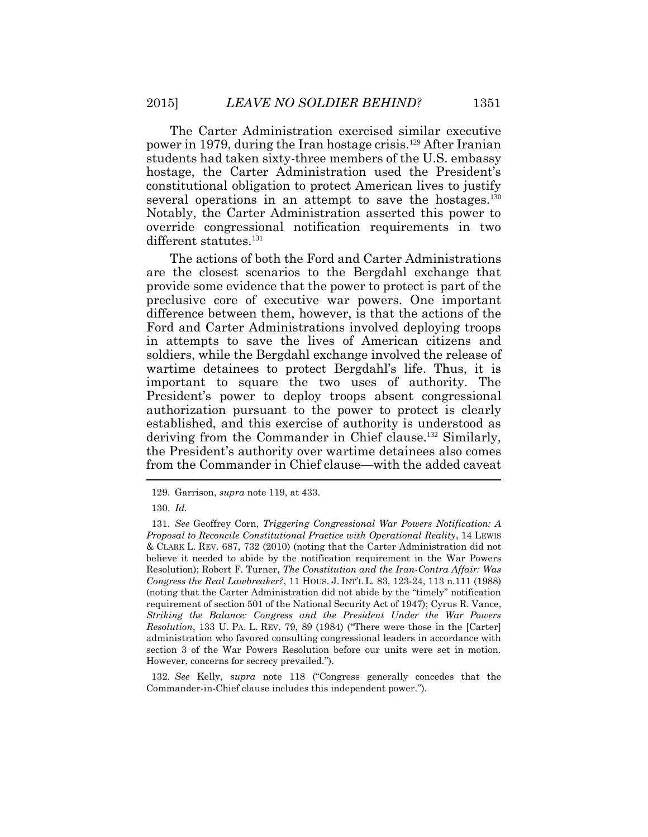The Carter Administration exercised similar executive power in 1979, during the Iran hostage crisis.<sup>129</sup> After Iranian students had taken sixty-three members of the U.S. embassy hostage, the Carter Administration used the President's constitutional obligation to protect American lives to justify several operations in an attempt to save the hostages.<sup>130</sup> Notably, the Carter Administration asserted this power to override congressional notification requirements in two different statutes.<sup>131</sup>

The actions of both the Ford and Carter Administrations are the closest scenarios to the Bergdahl exchange that provide some evidence that the power to protect is part of the preclusive core of executive war powers. One important difference between them, however, is that the actions of the Ford and Carter Administrations involved deploying troops in attempts to save the lives of American citizens and soldiers, while the Bergdahl exchange involved the release of wartime detainees to protect Bergdahl's life. Thus, it is important to square the two uses of authority. The President's power to deploy troops absent congressional authorization pursuant to the power to protect is clearly established, and this exercise of authority is understood as deriving from the Commander in Chief clause.<sup>132</sup> Similarly, the President's authority over wartime detainees also comes from the Commander in Chief clause—with the added caveat

132. *See* Kelly, *supra* note 118 ("Congress generally concedes that the Commander-in-Chief clause includes this independent power.").

<sup>129.</sup> Garrison, *supra* note 119, at 433.

<sup>130.</sup> *Id.*

<sup>131.</sup> *See* Geoffrey Corn, *Triggering Congressional War Powers Notification: A Proposal to Reconcile Constitutional Practice with Operational Reality*, 14 LEWIS & CLARK L. REV. 687, 732 (2010) (noting that the Carter Administration did not believe it needed to abide by the notification requirement in the War Powers Resolution); Robert F. Turner, *The Constitution and the Iran-Contra Affair: Was Congress the Real Lawbreaker?*, 11 HOUS. J. INT'L L. 83, 123-24, 113 n.111 (1988) (noting that the Carter Administration did not abide by the "timely" notification requirement of section 501 of the National Security Act of 1947); Cyrus R. Vance, *Striking the Balance: Congress and the President Under the War Powers Resolution*, 133 U. PA. L. REV. 79, 89 (1984) ("There were those in the [Carter] administration who favored consulting congressional leaders in accordance with section 3 of the War Powers Resolution before our units were set in motion. However, concerns for secrecy prevailed.").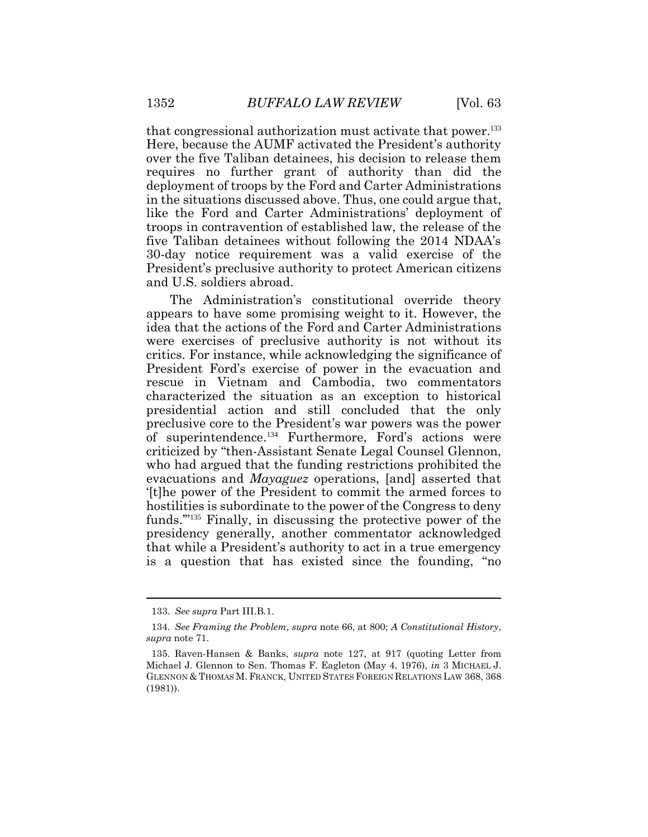that congressional authorization must activate that power.<sup>133</sup> Here, because the AUMF activated the President's authority over the five Taliban detainees, his decision to release them requires no further grant of authority than did the deployment of troops by the Ford and Carter Administrations in the situations discussed above. Thus, one could argue that, like the Ford and Carter Administrations' deployment of troops in contravention of established law, the release of the five Taliban detainees without following the 2014 NDAA's 30-day notice requirement was a valid exercise of the President's preclusive authority to protect American citizens and U.S. soldiers abroad.

The Administration's constitutional override theory appears to have some promising weight to it. However, the idea that the actions of the Ford and Carter Administrations were exercises of preclusive authority is not without its critics. For instance, while acknowledging the significance of President Ford's exercise of power in the evacuation and rescue in Vietnam and Cambodia, two commentators characterized the situation as an exception to historical presidential action and still concluded that the only preclusive core to the President's war powers was the power of superintendence.<sup>134</sup> Furthermore, Ford's actions were criticized by "then-Assistant Senate Legal Counsel Glennon, who had argued that the funding restrictions prohibited the evacuations and *Mayaguez* operations, [and] asserted that '[t]he power of the President to commit the armed forces to hostilities is subordinate to the power of the Congress to deny funds.'"<sup>135</sup> Finally, in discussing the protective power of the presidency generally, another commentator acknowledged that while a President's authority to act in a true emergency is a question that has existed since the founding, "no

<sup>133.</sup> *See supra* Part III.B.1.

<sup>134.</sup> *See Framing the Problem*, *supra* note 66, at 800; *A Constitutional History*, *supra* note 71.

<sup>135.</sup> Raven-Hansen & Banks, *supra* note 127, at 917 (quoting Letter from Michael J. Glennon to Sen. Thomas F. Eagleton (May 4, 1976), *in* 3 MICHAEL J. GLENNON & THOMAS M. FRANCK, UNITED STATES FOREIGN RELATIONS LAW 368, 368 (1981)).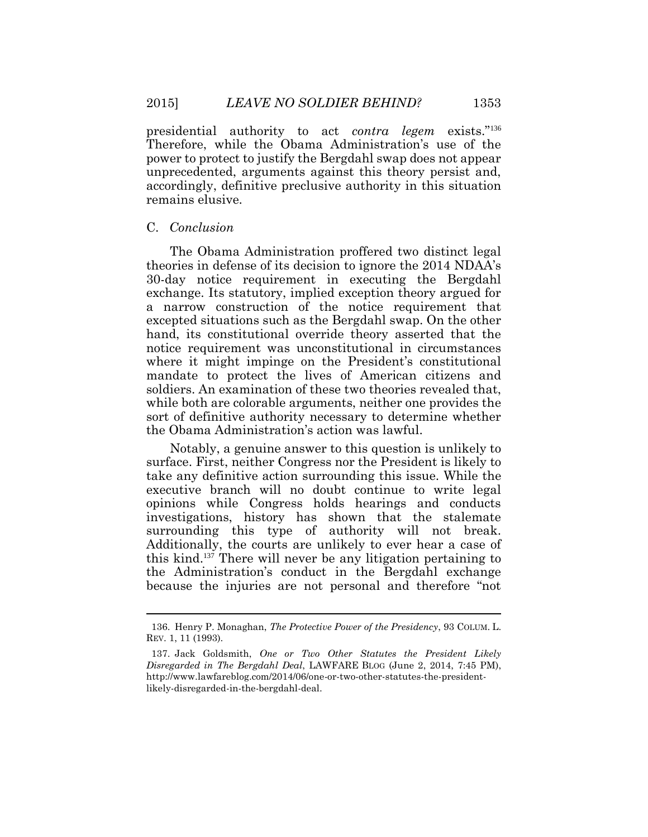presidential authority to act *contra legem* exists."<sup>136</sup> Therefore, while the Obama Administration's use of the power to protect to justify the Bergdahl swap does not appear unprecedented, arguments against this theory persist and, accordingly, definitive preclusive authority in this situation remains elusive.

## C. *Conclusion*

The Obama Administration proffered two distinct legal theories in defense of its decision to ignore the 2014 NDAA's 30-day notice requirement in executing the Bergdahl exchange. Its statutory, implied exception theory argued for a narrow construction of the notice requirement that excepted situations such as the Bergdahl swap. On the other hand, its constitutional override theory asserted that the notice requirement was unconstitutional in circumstances where it might impinge on the President's constitutional mandate to protect the lives of American citizens and soldiers. An examination of these two theories revealed that, while both are colorable arguments, neither one provides the sort of definitive authority necessary to determine whether the Obama Administration's action was lawful.

Notably, a genuine answer to this question is unlikely to surface. First, neither Congress nor the President is likely to take any definitive action surrounding this issue. While the executive branch will no doubt continue to write legal opinions while Congress holds hearings and conducts investigations, history has shown that the stalemate surrounding this type of authority will not break. Additionally, the courts are unlikely to ever hear a case of this kind.137 There will never be any litigation pertaining to the Administration's conduct in the Bergdahl exchange because the injuries are not personal and therefore "not

 $\overline{a}$ 

<sup>136.</sup> Henry P. Monaghan, *The Protective Power of the Presidency*, 93 COLUM. L. REV. 1, 11 (1993).

<sup>137.</sup> Jack Goldsmith, *One or Two Other Statutes the President Likely Disregarded in The Bergdahl Deal*, LAWFARE BLOG (June 2, 2014, 7:45 PM), http://www.lawfareblog.com/2014/06/one-or-two-other-statutes-the-presidentlikely-disregarded-in-the-bergdahl-deal.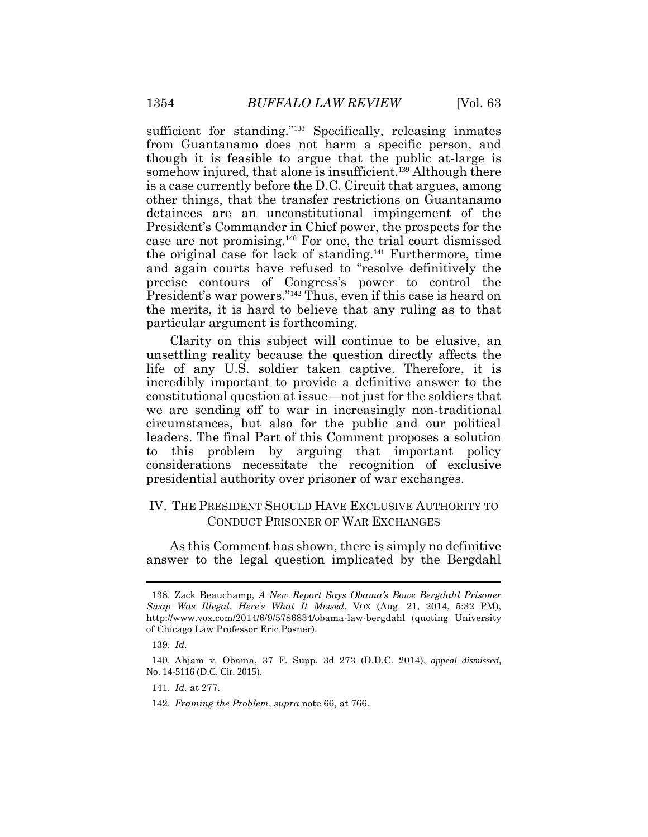sufficient for standing."138 Specifically, releasing inmates from Guantanamo does not harm a specific person, and though it is feasible to argue that the public at-large is somehow injured, that alone is insufficient.<sup>139</sup> Although there is a case currently before the D.C. Circuit that argues, among other things, that the transfer restrictions on Guantanamo detainees are an unconstitutional impingement of the President's Commander in Chief power, the prospects for the case are not promising.140 For one, the trial court dismissed the original case for lack of standing.141 Furthermore, time and again courts have refused to "resolve definitively the precise contours of Congress's power to control the President's war powers."142 Thus, even if this case is heard on the merits, it is hard to believe that any ruling as to that particular argument is forthcoming.

Clarity on this subject will continue to be elusive, an unsettling reality because the question directly affects the life of any U.S. soldier taken captive. Therefore, it is incredibly important to provide a definitive answer to the constitutional question at issue—not just for the soldiers that we are sending off to war in increasingly non-traditional circumstances, but also for the public and our political leaders. The final Part of this Comment proposes a solution to this problem by arguing that important policy considerations necessitate the recognition of exclusive presidential authority over prisoner of war exchanges.

# IV. THE PRESIDENT SHOULD HAVE EXCLUSIVE AUTHORITY TO CONDUCT PRISONER OF WAR EXCHANGES

As this Comment has shown, there is simply no definitive answer to the legal question implicated by the Bergdahl

 $\overline{a}$ 

<sup>138.</sup> Zack Beauchamp, *A New Report Says Obama's Bowe Bergdahl Prisoner Swap Was Illegal. Here's What It Missed*, VOX (Aug. 21, 2014, 5:32 PM), http://www.vox.com/2014/6/9/5786834/obama-law-bergdahl (quoting University of Chicago Law Professor Eric Posner).

<sup>139.</sup> *Id.*

<sup>140.</sup> Ahjam v. Obama, 37 F. Supp. 3d 273 (D.D.C. 2014), *appeal dismissed*, No. 14-5116 (D.C. Cir. 2015).

<sup>141.</sup> *Id.* at 277.

<sup>142.</sup> *Framing the Problem*, *supra* note 66, at 766.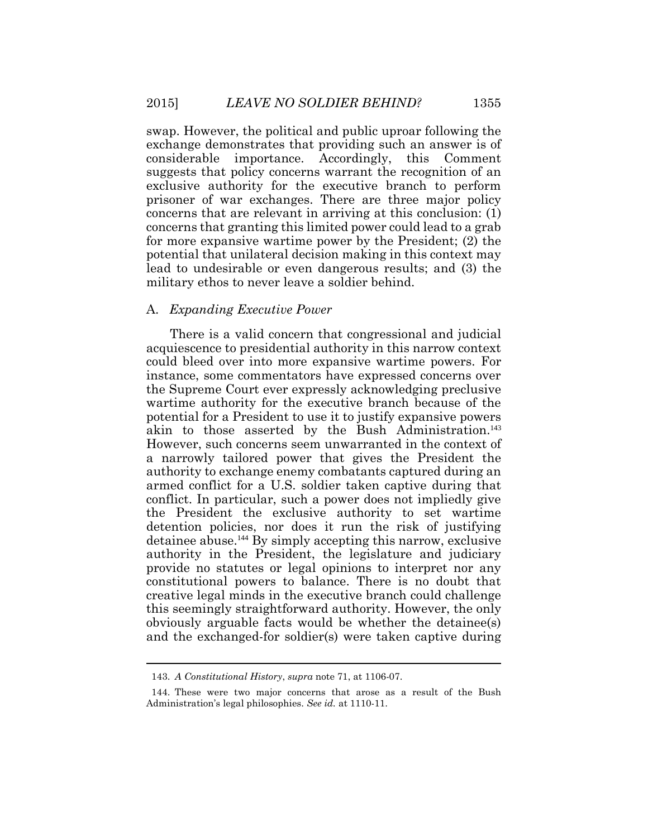swap. However, the political and public uproar following the exchange demonstrates that providing such an answer is of considerable importance. Accordingly, this Comment suggests that policy concerns warrant the recognition of an exclusive authority for the executive branch to perform prisoner of war exchanges. There are three major policy concerns that are relevant in arriving at this conclusion: (1) concerns that granting this limited power could lead to a grab for more expansive wartime power by the President; (2) the potential that unilateral decision making in this context may lead to undesirable or even dangerous results; and (3) the military ethos to never leave a soldier behind.

#### A. *Expanding Executive Power*

There is a valid concern that congressional and judicial acquiescence to presidential authority in this narrow context could bleed over into more expansive wartime powers. For instance, some commentators have expressed concerns over the Supreme Court ever expressly acknowledging preclusive wartime authority for the executive branch because of the potential for a President to use it to justify expansive powers akin to those asserted by the Bush Administration.<sup>143</sup> However, such concerns seem unwarranted in the context of a narrowly tailored power that gives the President the authority to exchange enemy combatants captured during an armed conflict for a U.S. soldier taken captive during that conflict. In particular, such a power does not impliedly give the President the exclusive authority to set wartime detention policies, nor does it run the risk of justifying detainee abuse.144 By simply accepting this narrow, exclusive authority in the President, the legislature and judiciary provide no statutes or legal opinions to interpret nor any constitutional powers to balance. There is no doubt that creative legal minds in the executive branch could challenge this seemingly straightforward authority. However, the only obviously arguable facts would be whether the detainee(s) and the exchanged-for soldier(s) were taken captive during

<sup>143.</sup> *A Constitutional History*, *supra* note 71, at 1106-07.

<sup>144.</sup> These were two major concerns that arose as a result of the Bush Administration's legal philosophies. *See id.* at 1110-11.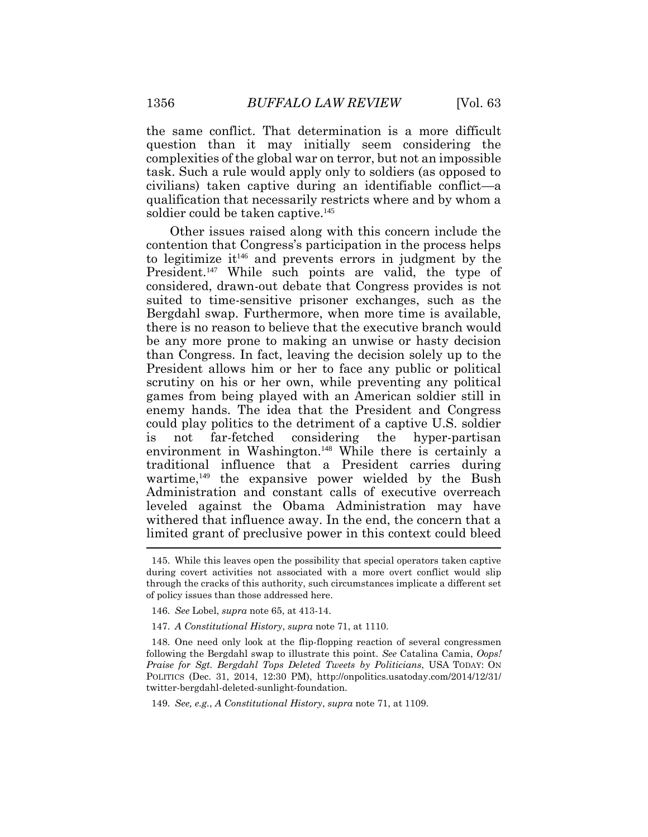the same conflict. That determination is a more difficult question than it may initially seem considering the complexities of the global war on terror, but not an impossible task. Such a rule would apply only to soldiers (as opposed to civilians) taken captive during an identifiable conflict—a qualification that necessarily restricts where and by whom a soldier could be taken captive.<sup>145</sup>

Other issues raised along with this concern include the contention that Congress's participation in the process helps to legitimize it <sup>146</sup> and prevents errors in judgment by the President.<sup>147</sup> While such points are valid, the type of considered, drawn-out debate that Congress provides is not suited to time-sensitive prisoner exchanges, such as the Bergdahl swap. Furthermore, when more time is available, there is no reason to believe that the executive branch would be any more prone to making an unwise or hasty decision than Congress. In fact, leaving the decision solely up to the President allows him or her to face any public or political scrutiny on his or her own, while preventing any political games from being played with an American soldier still in enemy hands. The idea that the President and Congress could play politics to the detriment of a captive U.S. soldier is not far-fetched considering the hyper-partisan environment in Washington.<sup>148</sup> While there is certainly a traditional influence that a President carries during wartime, $149$  the expansive power wielded by the Bush Administration and constant calls of executive overreach leveled against the Obama Administration may have withered that influence away. In the end, the concern that a limited grant of preclusive power in this context could bleed

148. One need only look at the flip-flopping reaction of several congressmen following the Bergdahl swap to illustrate this point. *See* Catalina Camia, *Oops! Praise for Sgt. Bergdahl Tops Deleted Tweets by Politicians*, USA TODAY: ON POLITICS (Dec. 31, 2014, 12:30 PM), http://onpolitics.usatoday.com/2014/12/31/ twitter-bergdahl-deleted-sunlight-foundation.

149. *See, e.g.*, *A Constitutional History*, *supra* note 71, at 1109.

<sup>145.</sup> While this leaves open the possibility that special operators taken captive during covert activities not associated with a more overt conflict would slip through the cracks of this authority, such circumstances implicate a different set of policy issues than those addressed here.

<sup>146.</sup> *See* Lobel, *supra* note 65, at 413-14.

<sup>147.</sup> *A Constitutional History*, *supra* note 71, at 1110.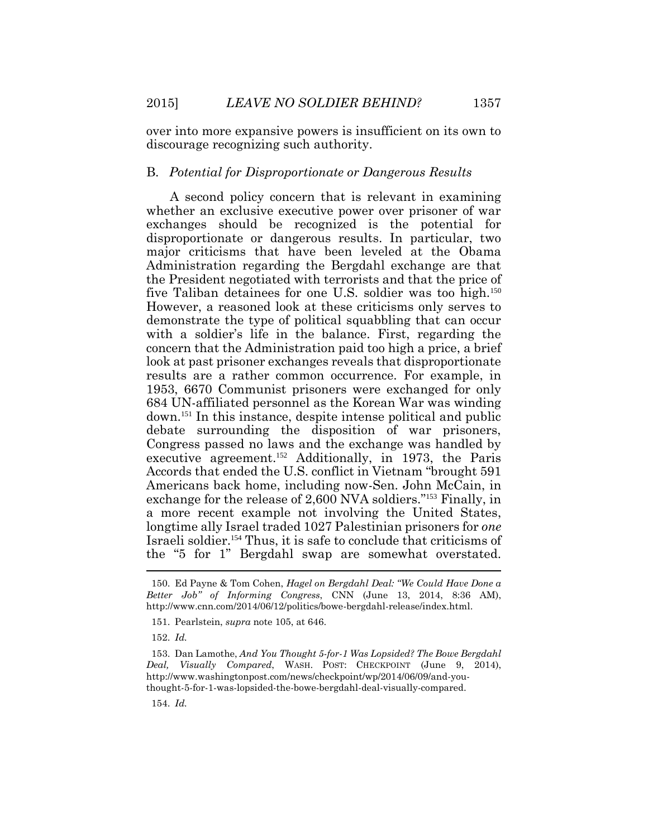over into more expansive powers is insufficient on its own to discourage recognizing such authority.

#### B. *Potential for Disproportionate or Dangerous Results*

A second policy concern that is relevant in examining whether an exclusive executive power over prisoner of war exchanges should be recognized is the potential for disproportionate or dangerous results. In particular, two major criticisms that have been leveled at the Obama Administration regarding the Bergdahl exchange are that the President negotiated with terrorists and that the price of five Taliban detainees for one U.S. soldier was too high.<sup>150</sup> However, a reasoned look at these criticisms only serves to demonstrate the type of political squabbling that can occur with a soldier's life in the balance. First, regarding the concern that the Administration paid too high a price, a brief look at past prisoner exchanges reveals that disproportionate results are a rather common occurrence. For example, in 1953, 6670 Communist prisoners were exchanged for only 684 UN-affiliated personnel as the Korean War was winding down.151 In this instance, despite intense political and public debate surrounding the disposition of war prisoners, Congress passed no laws and the exchange was handled by executive agreement.<sup>152</sup> Additionally, in 1973, the Paris Accords that ended the U.S. conflict in Vietnam "brought 591 Americans back home, including now-Sen. John McCain, in exchange for the release of 2,600 NVA soldiers."153 Finally, in a more recent example not involving the United States, longtime ally Israel traded 1027 Palestinian prisoners for *one* Israeli soldier.154 Thus, it is safe to conclude that criticisms of the "5 for 1" Bergdahl swap are somewhat overstated.  $\overline{a}$ 

152. *Id.* 

154. *Id.* 

<sup>150.</sup> Ed Payne & Tom Cohen, *Hagel on Bergdahl Deal: "We Could Have Done a Better Job" of Informing Congress*, CNN (June 13, 2014, 8:36 AM), http://www.cnn.com/2014/06/12/politics/bowe-bergdahl-release/index.html.

<sup>151.</sup> Pearlstein, *supra* note 105, at 646.

<sup>153.</sup> Dan Lamothe, *And You Thought 5-for-1 Was Lopsided? The Bowe Bergdahl Deal, Visually Compared*, WASH. POST: CHECKPOINT (June 9, 2014), http://www.washingtonpost.com/news/checkpoint/wp/2014/06/09/and-youthought-5-for-1-was-lopsided-the-bowe-bergdahl-deal-visually-compared.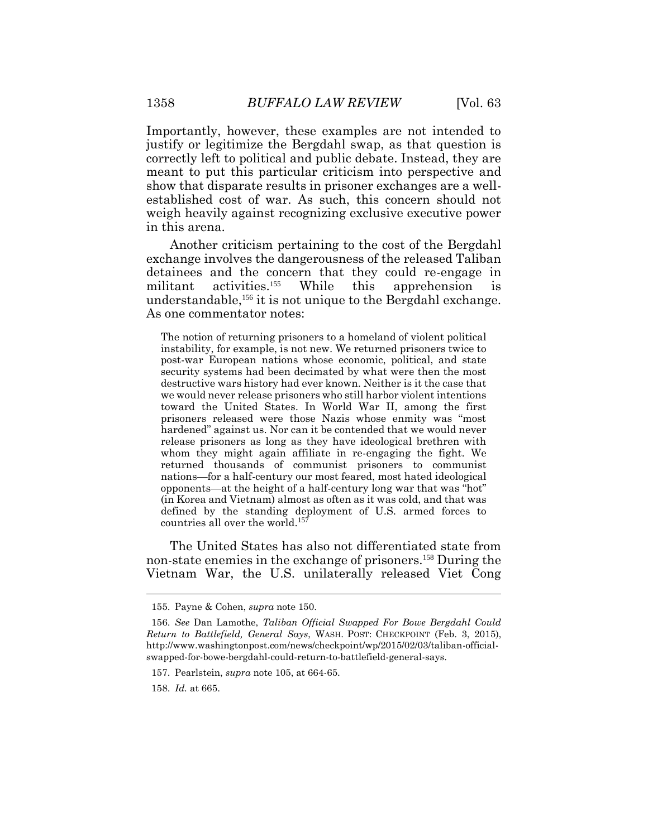Importantly, however, these examples are not intended to justify or legitimize the Bergdahl swap, as that question is correctly left to political and public debate. Instead, they are meant to put this particular criticism into perspective and show that disparate results in prisoner exchanges are a wellestablished cost of war. As such, this concern should not weigh heavily against recognizing exclusive executive power in this arena.

Another criticism pertaining to the cost of the Bergdahl exchange involves the dangerousness of the released Taliban detainees and the concern that they could re-engage in militant activities.<sup>155</sup> While this apprehension is understandable,<sup>156</sup> it is not unique to the Bergdahl exchange. As one commentator notes:

The notion of returning prisoners to a homeland of violent political instability, for example, is not new. We returned prisoners twice to post-war European nations whose economic, political, and state security systems had been decimated by what were then the most destructive wars history had ever known. Neither is it the case that we would never release prisoners who still harbor violent intentions toward the United States. In World War II, among the first prisoners released were those Nazis whose enmity was "most hardened" against us. Nor can it be contended that we would never release prisoners as long as they have ideological brethren with whom they might again affiliate in re-engaging the fight. We returned thousands of communist prisoners to communist nations—for a half-century our most feared, most hated ideological opponents—at the height of a half-century long war that was "hot" (in Korea and Vietnam) almost as often as it was cold, and that was defined by the standing deployment of U.S. armed forces to countries all over the world.<sup>157</sup>

The United States has also not differentiated state from non-state enemies in the exchange of prisoners.<sup>158</sup> During the Vietnam War, the U.S. unilaterally released Viet Cong

<sup>155.</sup> Payne & Cohen, *supra* note 150.

<sup>156.</sup> *See* Dan Lamothe, *Taliban Official Swapped For Bowe Bergdahl Could Return to Battlefield, General Says*, WASH. POST: CHECKPOINT (Feb. 3, 2015), http://www.washingtonpost.com/news/checkpoint/wp/2015/02/03/taliban-officialswapped-for-bowe-bergdahl-could-return-to-battlefield-general-says.

<sup>157.</sup> Pearlstein, *supra* note 105, at 664-65.

<sup>158.</sup> *Id.* at 665.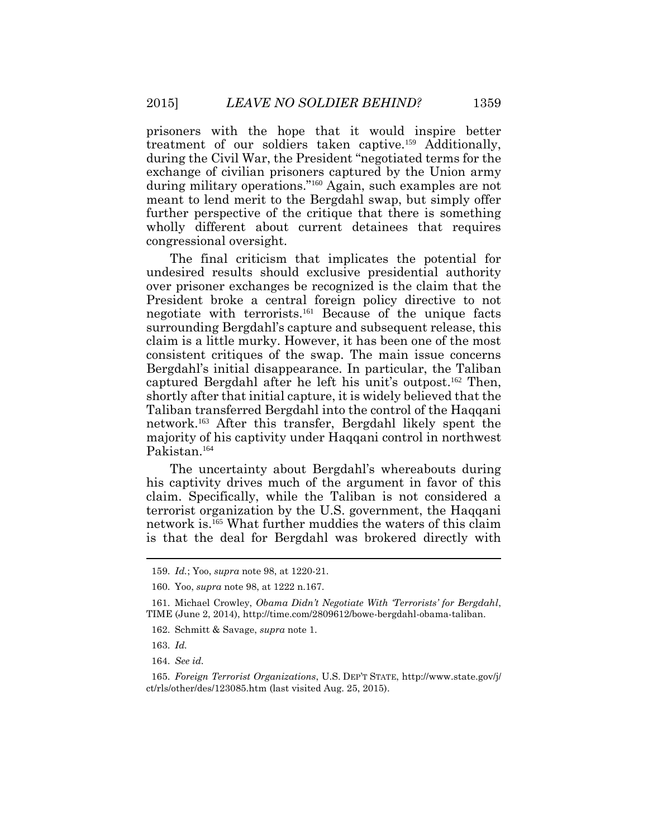prisoners with the hope that it would inspire better treatment of our soldiers taken captive.<sup>159</sup> Additionally, during the Civil War, the President "negotiated terms for the exchange of civilian prisoners captured by the Union army during military operations."<sup>160</sup> Again, such examples are not meant to lend merit to the Bergdahl swap, but simply offer further perspective of the critique that there is something wholly different about current detainees that requires congressional oversight.

The final criticism that implicates the potential for undesired results should exclusive presidential authority over prisoner exchanges be recognized is the claim that the President broke a central foreign policy directive to not negotiate with terrorists.<sup>161</sup> Because of the unique facts surrounding Bergdahl's capture and subsequent release, this claim is a little murky. However, it has been one of the most consistent critiques of the swap. The main issue concerns Bergdahl's initial disappearance. In particular, the Taliban captured Bergdahl after he left his unit's outpost. <sup>162</sup> Then, shortly after that initial capture, it is widely believed that the Taliban transferred Bergdahl into the control of the Haqqani network.<sup>163</sup> After this transfer, Bergdahl likely spent the majority of his captivity under Haqqani control in northwest Pakistan.<sup>164</sup>

The uncertainty about Bergdahl's whereabouts during his captivity drives much of the argument in favor of this claim. Specifically, while the Taliban is not considered a terrorist organization by the U.S. government, the Haqqani network is.<sup>165</sup> What further muddies the waters of this claim is that the deal for Bergdahl was brokered directly with

<sup>159.</sup> *Id.*; Yoo, *supra* note 98, at 1220-21.

<sup>160.</sup> Yoo, *supra* note 98, at 1222 n.167.

<sup>161.</sup> Michael Crowley, *Obama Didn't Negotiate With 'Terrorists' for Bergdahl*, TIME (June 2, 2014), http://time.com/2809612/bowe-bergdahl-obama-taliban.

<sup>162.</sup> Schmitt & Savage, *supra* note 1.

<sup>163.</sup> *Id.*

<sup>164.</sup> *See id.*

<sup>165.</sup> *Foreign Terrorist Organizations*, U.S. DEP'T STATE, http://www.state.gov/j/ ct/rls/other/des/123085.htm (last visited Aug. 25, 2015).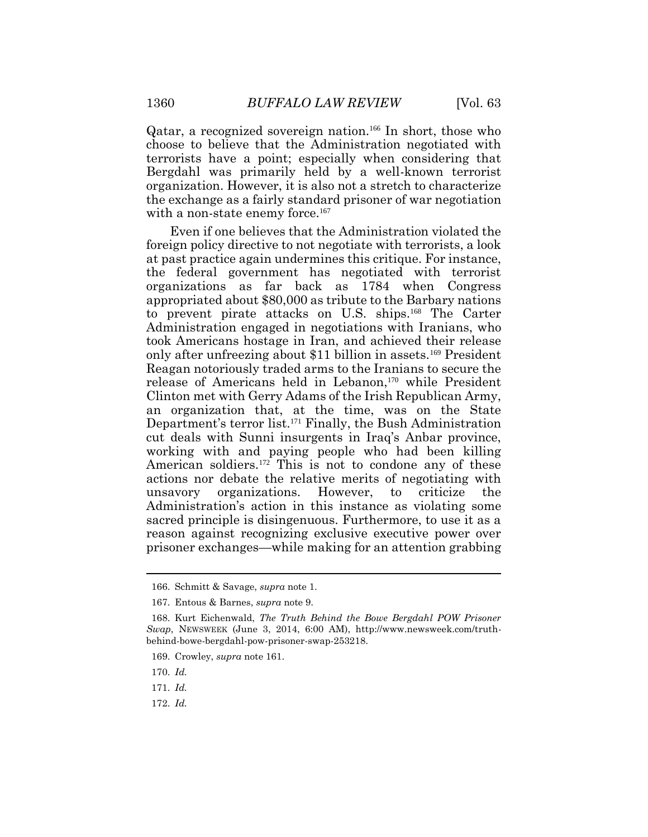Qatar, a recognized sovereign nation.<sup>166</sup> In short, those who choose to believe that the Administration negotiated with terrorists have a point; especially when considering that Bergdahl was primarily held by a well-known terrorist organization. However, it is also not a stretch to characterize the exchange as a fairly standard prisoner of war negotiation with a non-state enemy force.<sup>167</sup>

Even if one believes that the Administration violated the foreign policy directive to not negotiate with terrorists, a look at past practice again undermines this critique. For instance, the federal government has negotiated with terrorist organizations as far back as 1784 when Congress appropriated about \$80,000 as tribute to the Barbary nations to prevent pirate attacks on U.S. ships.<sup>168</sup> The Carter Administration engaged in negotiations with Iranians, who took Americans hostage in Iran, and achieved their release only after unfreezing about \$11 billion in assets.<sup>169</sup> President Reagan notoriously traded arms to the Iranians to secure the release of Americans held in Lebanon,<sup>170</sup> while President Clinton met with Gerry Adams of the Irish Republican Army, an organization that, at the time, was on the State Department's terror list.<sup>171</sup> Finally, the Bush Administration cut deals with Sunni insurgents in Iraq's Anbar province, working with and paying people who had been killing American soldiers.<sup>172</sup> This is not to condone any of these actions nor debate the relative merits of negotiating with unsavory organizations. However, to criticize the Administration's action in this instance as violating some sacred principle is disingenuous. Furthermore, to use it as a reason against recognizing exclusive executive power over prisoner exchanges—while making for an attention grabbing

- 171. *Id.*
- 172. *Id.*

<sup>166.</sup> Schmitt & Savage, *supra* note 1.

<sup>167.</sup> Entous & Barnes, *supra* note 9.

<sup>168.</sup> Kurt Eichenwald, *The Truth Behind the Bowe Bergdahl POW Prisoner Swap*, NEWSWEEK (June 3, 2014, 6:00 AM), http://www.newsweek.com/truthbehind-bowe-bergdahl-pow-prisoner-swap-253218.

<sup>169.</sup> Crowley, *supra* note 161.

<sup>170.</sup> *Id.*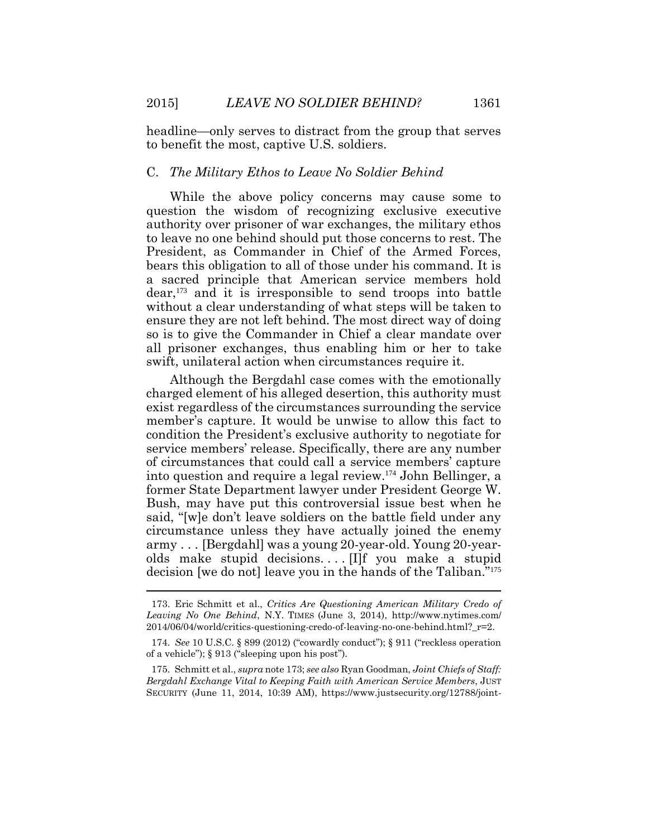headline—only serves to distract from the group that serves to benefit the most, captive U.S. soldiers.

#### C. *The Military Ethos to Leave No Soldier Behind*

While the above policy concerns may cause some to question the wisdom of recognizing exclusive executive authority over prisoner of war exchanges, the military ethos to leave no one behind should put those concerns to rest. The President, as Commander in Chief of the Armed Forces, bears this obligation to all of those under his command. It is a sacred principle that American service members hold dear,173 and it is irresponsible to send troops into battle without a clear understanding of what steps will be taken to ensure they are not left behind. The most direct way of doing so is to give the Commander in Chief a clear mandate over all prisoner exchanges, thus enabling him or her to take swift, unilateral action when circumstances require it.

Although the Bergdahl case comes with the emotionally charged element of his alleged desertion, this authority must exist regardless of the circumstances surrounding the service member's capture. It would be unwise to allow this fact to condition the President's exclusive authority to negotiate for service members' release. Specifically, there are any number of circumstances that could call a service members' capture into question and require a legal review.174 John Bellinger, a former State Department lawyer under President George W. Bush, may have put this controversial issue best when he said, "[w]e don't leave soldiers on the battle field under any circumstance unless they have actually joined the enemy army . . . [Bergdahl] was a young 20-year-old. Young 20-yearolds make stupid decisions.... [I]f you make a stupid decision [we do not] leave you in the hands of the Taliban."<sup>175</sup> 

<sup>173.</sup> Eric Schmitt et al., *Critics Are Questioning American Military Credo of Leaving No One Behind*, N.Y. TIMES (June 3, 2014), http://www.nytimes.com/ 2014/06/04/world/critics-questioning-credo-of-leaving-no-one-behind.html?\_r=2.

<sup>174.</sup> *See* 10 U.S.C. § 899 (2012) ("cowardly conduct"); § 911 ("reckless operation of a vehicle"); § 913 ("sleeping upon his post").

<sup>175.</sup> Schmitt et al., *supra* note 173; *see also* Ryan Goodman, *Joint Chiefs of Staff: Bergdahl Exchange Vital to Keeping Faith with American Service Members*, JUST SECURITY (June 11, 2014, 10:39 AM), https://www.justsecurity.org/12788/joint-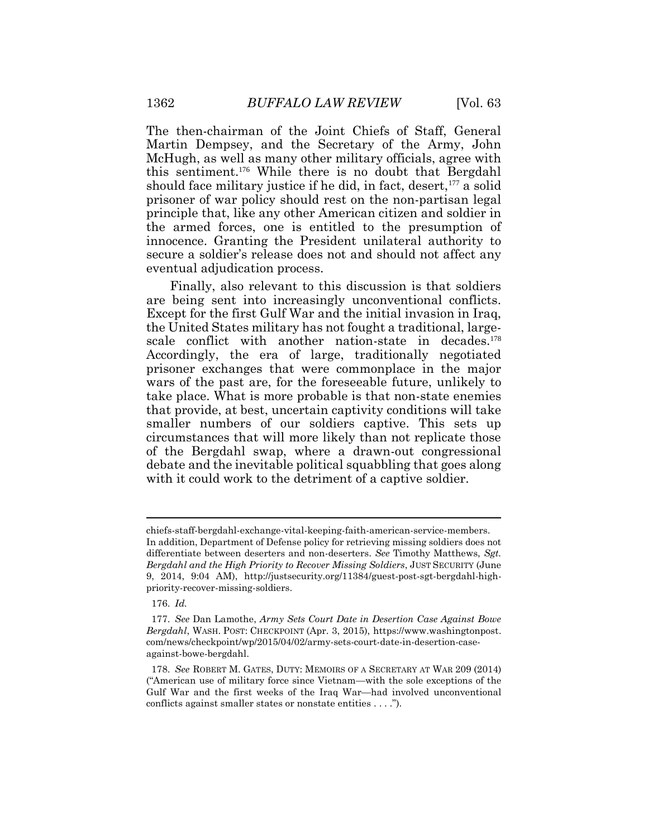The then-chairman of the Joint Chiefs of Staff, General Martin Dempsey, and the Secretary of the Army, John McHugh, as well as many other military officials, agree with this sentiment.<sup>176</sup> While there is no doubt that Bergdahl should face military justice if he did, in fact, desert,  $177$  a solid prisoner of war policy should rest on the non-partisan legal principle that, like any other American citizen and soldier in the armed forces, one is entitled to the presumption of innocence. Granting the President unilateral authority to secure a soldier's release does not and should not affect any eventual adjudication process.

Finally, also relevant to this discussion is that soldiers are being sent into increasingly unconventional conflicts. Except for the first Gulf War and the initial invasion in Iraq, the United States military has not fought a traditional, largescale conflict with another nation-state in decades.<sup>178</sup> Accordingly, the era of large, traditionally negotiated prisoner exchanges that were commonplace in the major wars of the past are, for the foreseeable future, unlikely to take place. What is more probable is that non-state enemies that provide, at best, uncertain captivity conditions will take smaller numbers of our soldiers captive. This sets up circumstances that will more likely than not replicate those of the Bergdahl swap, where a drawn-out congressional debate and the inevitable political squabbling that goes along with it could work to the detriment of a captive soldier.

chiefs-staff-bergdahl-exchange-vital-keeping-faith-american-service-members. In addition, Department of Defense policy for retrieving missing soldiers does not differentiate between deserters and non-deserters. *See* Timothy Matthews, *Sgt. Bergdahl and the High Priority to Recover Missing Soldiers*, JUST SECURITY (June 9, 2014, 9:04 AM), http://justsecurity.org/11384/guest-post-sgt-bergdahl-highpriority-recover-missing-soldiers.

<sup>176.</sup> *Id.*

<sup>177.</sup> *See* Dan Lamothe, *Army Sets Court Date in Desertion Case Against Bowe Bergdahl*, WASH. POST: CHECKPOINT (Apr. 3, 2015), https://www.washingtonpost. com/news/checkpoint/wp/2015/04/02/army-sets-court-date-in-desertion-caseagainst-bowe-bergdahl.

<sup>178.</sup> *See* ROBERT M. GATES, DUTY: MEMOIRS OF A SECRETARY AT WAR 209 (2014) ("American use of military force since Vietnam—with the sole exceptions of the Gulf War and the first weeks of the Iraq War—had involved unconventional conflicts against smaller states or nonstate entities . . . .").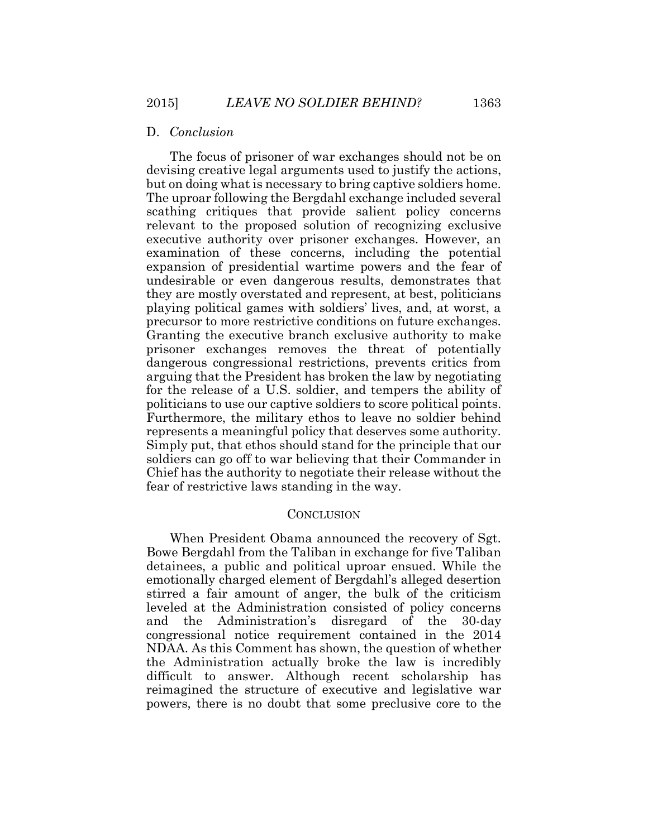#### D. *Conclusion*

The focus of prisoner of war exchanges should not be on devising creative legal arguments used to justify the actions, but on doing what is necessary to bring captive soldiers home. The uproar following the Bergdahl exchange included several scathing critiques that provide salient policy concerns relevant to the proposed solution of recognizing exclusive executive authority over prisoner exchanges. However, an examination of these concerns, including the potential expansion of presidential wartime powers and the fear of undesirable or even dangerous results, demonstrates that they are mostly overstated and represent, at best, politicians playing political games with soldiers' lives, and, at worst, a precursor to more restrictive conditions on future exchanges. Granting the executive branch exclusive authority to make prisoner exchanges removes the threat of potentially dangerous congressional restrictions, prevents critics from arguing that the President has broken the law by negotiating for the release of a U.S. soldier, and tempers the ability of politicians to use our captive soldiers to score political points. Furthermore, the military ethos to leave no soldier behind represents a meaningful policy that deserves some authority. Simply put, that ethos should stand for the principle that our soldiers can go off to war believing that their Commander in Chief has the authority to negotiate their release without the fear of restrictive laws standing in the way.

#### **CONCLUSION**

When President Obama announced the recovery of Sgt. Bowe Bergdahl from the Taliban in exchange for five Taliban detainees, a public and political uproar ensued. While the emotionally charged element of Bergdahl's alleged desertion stirred a fair amount of anger, the bulk of the criticism leveled at the Administration consisted of policy concerns and the Administration's disregard of the 30-day congressional notice requirement contained in the 2014 NDAA. As this Comment has shown, the question of whether the Administration actually broke the law is incredibly difficult to answer. Although recent scholarship has reimagined the structure of executive and legislative war powers, there is no doubt that some preclusive core to the